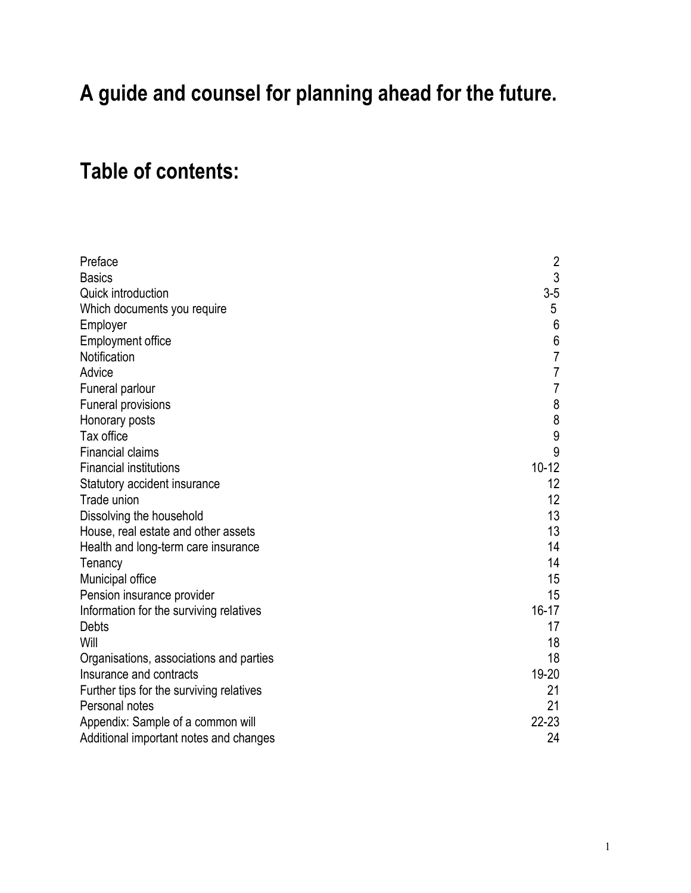## **A guide and counsel for planning ahead for the future.**

## **Table of contents:**

| Preface                                  | $\overline{2}$   |
|------------------------------------------|------------------|
| <b>Basics</b>                            | 3                |
| Quick introduction                       | $3-5$            |
| Which documents you require              | 5                |
| Employer                                 | 6                |
| <b>Employment office</b>                 | $\boldsymbol{6}$ |
| Notification                             | $\overline{7}$   |
| Advice                                   | $\overline{7}$   |
| Funeral parlour                          | $\overline{7}$   |
| <b>Funeral provisions</b>                | 8                |
| Honorary posts                           | 8                |
| Tax office                               | 9                |
| <b>Financial claims</b>                  | 9                |
| <b>Financial institutions</b>            | $10 - 12$        |
| Statutory accident insurance             | 12               |
| Trade union                              | 12               |
| Dissolving the household                 | 13               |
| House, real estate and other assets      | 13               |
| Health and long-term care insurance      | 14               |
| Tenancy                                  | 14               |
| Municipal office                         | 15               |
| Pension insurance provider               | 15               |
| Information for the surviving relatives  | $16 - 17$        |
| <b>Debts</b>                             | 17               |
| Will                                     | 18               |
| Organisations, associations and parties  | 18               |
| Insurance and contracts                  | 19-20            |
| Further tips for the surviving relatives | 21               |
| Personal notes                           | 21               |
| Appendix: Sample of a common will        | $22 - 23$        |
| Additional important notes and changes   | 24               |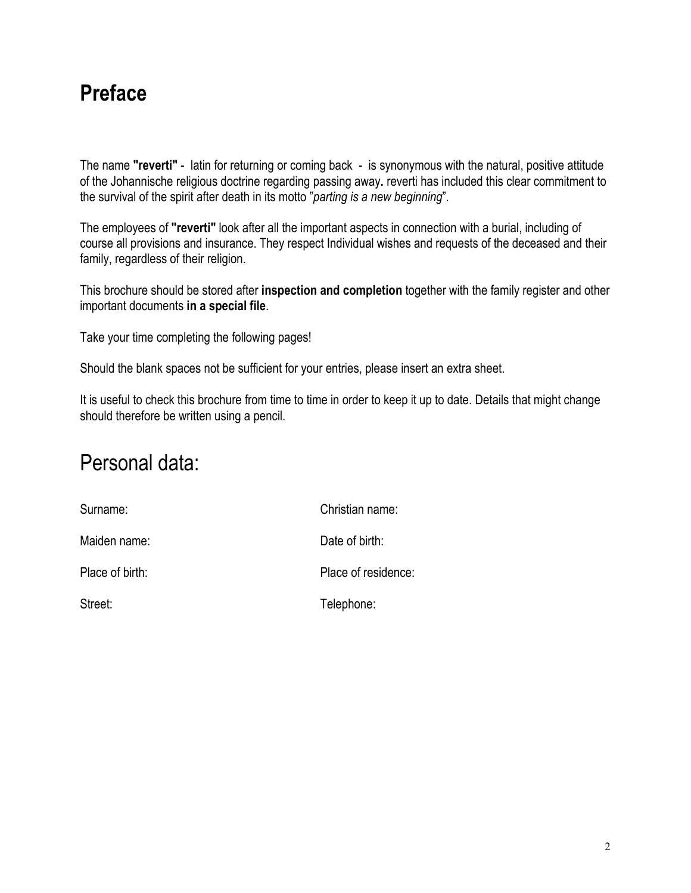#### **Preface**

The name **"reverti"** - latin for returning or coming back - is synonymous with the natural, positive attitude of the Johannische religious doctrine regarding passing away**.** reverti has included this clear commitment to the survival of the spirit after death in its motto "*parting is a new beginning*".

The employees of **"reverti"** look after all the important aspects in connection with a burial, including of course all provisions and insurance. They respect Individual wishes and requests of the deceased and their family, regardless of their religion.

This brochure should be stored after **inspection and completion** together with the family register and other important documents **in a special file**.

Take your time completing the following pages!

Should the blank spaces not be sufficient for your entries, please insert an extra sheet.

It is useful to check this brochure from time to time in order to keep it up to date. Details that might change should therefore be written using a pencil.

#### Personal data:

| Surname:        | Christian name:     |
|-----------------|---------------------|
| Maiden name:    | Date of birth:      |
| Place of birth: | Place of residence: |
| Street:         | Telephone:          |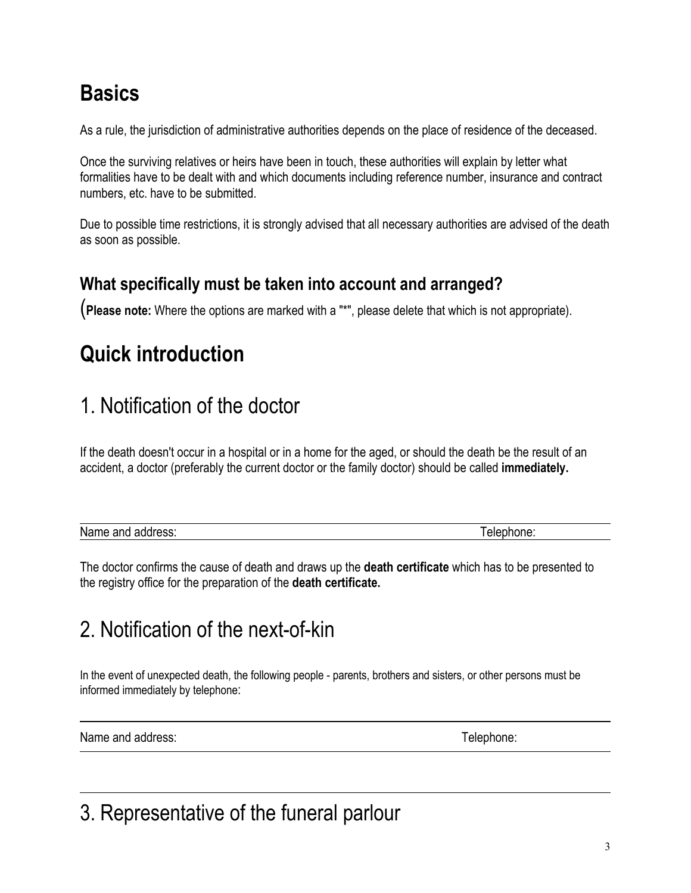## **Basics**

As a rule, the jurisdiction of administrative authorities depends on the place of residence of the deceased.

Once the surviving relatives or heirs have been in touch, these authorities will explain by letter what formalities have to be dealt with and which documents including reference number, insurance and contract numbers, etc. have to be submitted.

Due to possible time restrictions, it is strongly advised that all necessary authorities are advised of the death as soon as possible.

#### **What specifically must be taken into account and arranged?**

(**Please note:** Where the options are marked with a "\*", please delete that which is not appropriate).

# **Quick introduction**

## 1. Notification of the doctor

If the death doesn't occur in a hospital or in a home for the aged, or should the death be the result of an accident, a doctor (preferably the current doctor or the family doctor) should be called **immediately.**

| Nan<br>ldress:<br>- -<br>200 IO I<br><b>21110</b> | <br>טו |
|---------------------------------------------------|--------|
|                                                   |        |

The doctor confirms the cause of death and draws up the **death certificate** which has to be presented to the registry office for the preparation of the **death certificate.**

## 2. Notification of the next-of-kin

In the event of unexpected death, the following people - parents, brothers and sisters, or other persons must be informed immediately by telephone:

Name and address: Telephone: Telephone: Telephone: Telephone: Telephone: Telephone: Telephone: Telephone: Telephone: Telephone: Telephone: Telephone: Telephone: Telephone: Telephone: Telephone: Telephone: Telephone: Teleph

## 3. Representative of the funeral parlour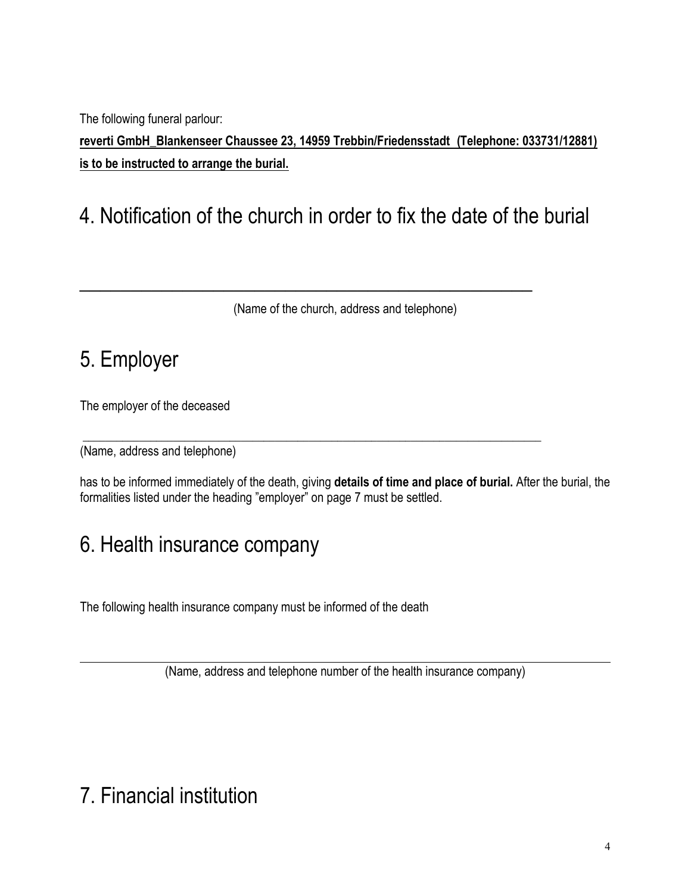The following funeral parlour:

**rreverti GmbH\_Blankenseer Chaussee 23, 14959 Trebbin/Friedensstadt ( Telephone: 033731/12881) is to be instructed to arrange the burial.**

#### 4. Notification of the church in order to fix the date of the burial

 $\mathcal{L}_\text{max}$  , and the contract of the contract of the contract of the contract of the contract of the contract of the contract of the contract of the contract of the contract of the contract of the contract of the contr

\_\_\_\_\_\_\_\_\_\_\_\_\_\_\_\_\_\_\_\_\_\_\_\_\_\_\_\_\_\_\_\_\_\_\_\_\_\_\_\_\_\_\_\_\_\_\_\_\_\_\_\_\_\_\_\_\_\_\_\_\_\_\_\_\_\_\_\_\_\_\_\_\_\_\_\_\_\_\_\_\_

(Name of the church, address and telephone)

#### 5. Employer

The employer of the deceased

(Name, address and telephone)

has to be informed immediately of the death, giving **details of time and place of burial.** After the burial, the formalities listed under the heading "employer" on page 7 must be settled.

#### 6. Health insurance company

The following health insurance company must be informed of the death

(Name, address and telephone number of the health insurance company)

## 7. Financial institution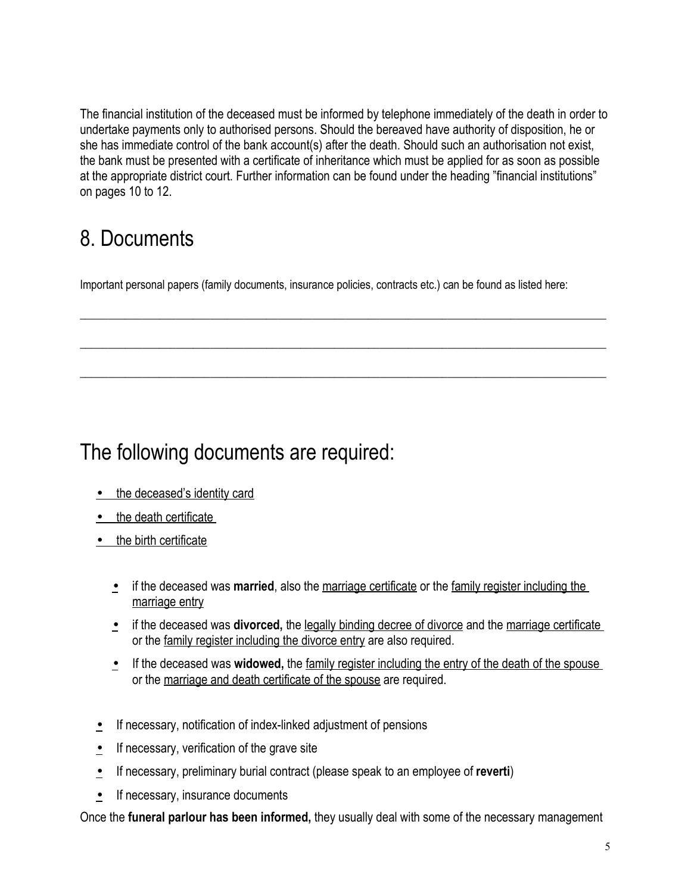The financial institution of the deceased must be informed by telephone immediately of the death in order to undertake payments only to authorised persons. Should the bereaved have authority of disposition, he or she has immediate control of the bank account(s) after the death. Should such an authorisation not exist, the bank must be presented with a certificate of inheritance which must be applied for as soon as possible at the appropriate district court. Further information can be found under the heading "financial institutions" on pages 10 to 12.

## 8. Documents

Important personal papers (family documents, insurance policies, contracts etc.) can be found as listed here:

 $\_$  ,  $\_$  ,  $\_$  ,  $\_$  ,  $\_$  ,  $\_$  ,  $\_$  ,  $\_$  ,  $\_$  ,  $\_$  ,  $\_$  ,  $\_$  ,  $\_$  ,  $\_$  ,  $\_$  ,  $\_$  ,  $\_$  ,  $\_$  ,  $\_$  ,  $\_$  ,  $\_$  ,  $\_$  ,  $\_$  ,  $\_$  ,  $\_$  ,  $\_$  ,  $\_$  ,  $\_$  ,  $\_$  ,  $\_$  ,  $\_$  ,  $\_$  ,  $\_$  ,  $\_$  ,  $\_$  ,  $\_$  ,  $\_$  ,

 $\_$  ,  $\_$  ,  $\_$  ,  $\_$  ,  $\_$  ,  $\_$  ,  $\_$  ,  $\_$  ,  $\_$  ,  $\_$  ,  $\_$  ,  $\_$  ,  $\_$  ,  $\_$  ,  $\_$  ,  $\_$  ,  $\_$  ,  $\_$  ,  $\_$  ,  $\_$  ,  $\_$  ,  $\_$  ,  $\_$  ,  $\_$  ,  $\_$  ,  $\_$  ,  $\_$  ,  $\_$  ,  $\_$  ,  $\_$  ,  $\_$  ,  $\_$  ,  $\_$  ,  $\_$  ,  $\_$  ,  $\_$  ,  $\_$  ,

 $\_$  ,  $\_$  ,  $\_$  ,  $\_$  ,  $\_$  ,  $\_$  ,  $\_$  ,  $\_$  ,  $\_$  ,  $\_$  ,  $\_$  ,  $\_$  ,  $\_$  ,  $\_$  ,  $\_$  ,  $\_$  ,  $\_$  ,  $\_$  ,  $\_$  ,  $\_$  ,  $\_$  ,  $\_$  ,  $\_$  ,  $\_$  ,  $\_$  ,  $\_$  ,  $\_$  ,  $\_$  ,  $\_$  ,  $\_$  ,  $\_$  ,  $\_$  ,  $\_$  ,  $\_$  ,  $\_$  ,  $\_$  ,  $\_$  ,

#### The following documents are required:

- the deceased's identity card
- the death certificate
- the birth certificate
	- if the deceased was **married**, also the marriage certificate or the family register including the marriage entry
	- if the deceased was **divorced**, the legally binding decree of divorce and the marriage certificate or the family register including the divorce entry are also required.
	- If the deceased was **widowed**, the family register including the entry of the death of the spouse or the marriage and death certificate of the spouse are required.
- **•** If necessary, notification of index-linked adjustment of pensions
- If necessary, verification of the grave site
- If necessary, preliminary burial contract (please speak to an employee of **reverti**)
- If necessary, insurance documents

Once the **funeral parlour has been informed,** they usually deal with some of the necessary management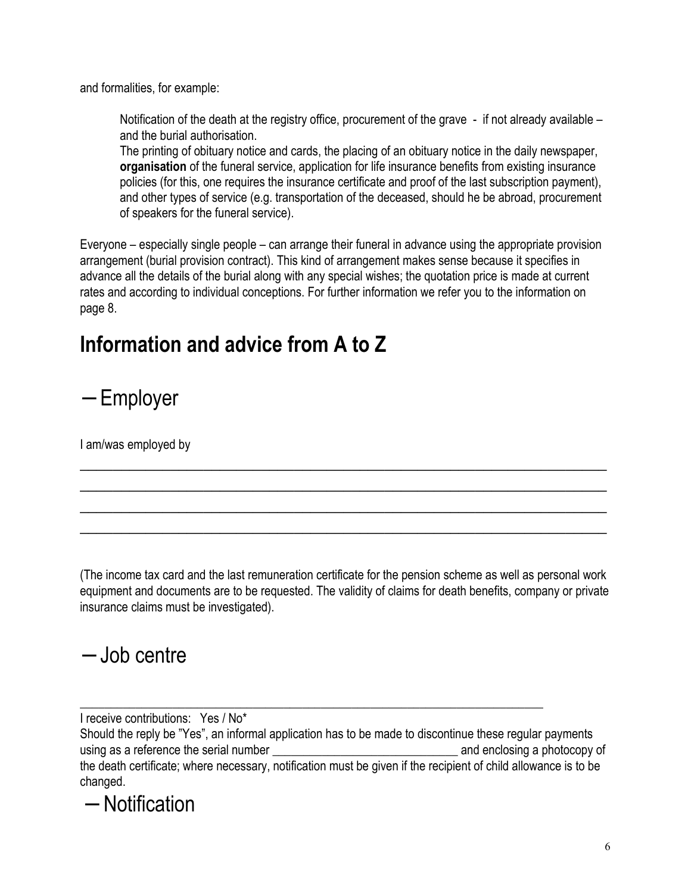and formalities, for example:

Notification of the death at the registry office, procurement of the grave - if not already available – and the burial authorisation.

The printing of obituary notice and cards, the placing of an obituary notice in the daily newspaper, **organisation** of the funeral service, application for life insurance benefits from existing insurance policies (for this, one requires the insurance certificate and proof of the last subscription payment), and other types of service (e.g. transportation of the deceased, should he be abroad, procurement of speakers for the funeral service).

Everyone – especially single people – can arrange their funeral in advance using the appropriate provision arrangement (burial provision contract). This kind of arrangement makes sense because it specifies in advance all the details of the burial along with any special wishes; the quotation price is made at current rates and according to individual conceptions. For further information we refer you to the information on page 8.

#### **Information and advice from A to Z**

− Employer

I am/was employed by

(The income tax card and the last remuneration certificate for the pension scheme as well as personal work equipment and documents are to be requested. The validity of claims for death benefits, company or private insurance claims must be investigated).

 $\overline{a_1}$  ,  $\overline{a_2}$  ,  $\overline{a_3}$  ,  $\overline{a_4}$  ,  $\overline{a_5}$  ,  $\overline{a_6}$  ,  $\overline{a_7}$  ,  $\overline{a_8}$  ,  $\overline{a_9}$  ,  $\overline{a_9}$  ,  $\overline{a_9}$  ,  $\overline{a_9}$  ,  $\overline{a_9}$  ,  $\overline{a_9}$  ,  $\overline{a_9}$  ,  $\overline{a_9}$  ,  $\overline{a_9}$  ,  $\overline{a_1}$  ,  $\overline{a_2}$  ,  $\overline{a_3}$  ,  $\overline{a_4}$  ,  $\overline{a_5}$  ,  $\overline{a_6}$  ,  $\overline{a_7}$  ,  $\overline{a_8}$  ,  $\overline{a_9}$  ,  $\overline{a_9}$  ,  $\overline{a_9}$  ,  $\overline{a_9}$  ,  $\overline{a_9}$  ,  $\overline{a_9}$  ,  $\overline{a_9}$  ,  $\overline{a_9}$  ,  $\overline{a_9}$  , \_\_\_\_\_\_\_\_\_\_\_\_\_\_\_\_\_\_\_\_\_\_\_\_\_\_\_\_\_\_\_\_\_\_\_\_\_\_\_\_\_\_\_\_\_\_\_\_\_\_\_\_\_\_\_\_\_\_\_\_\_\_\_\_  $\overline{a_1}$  ,  $\overline{a_2}$  ,  $\overline{a_3}$  ,  $\overline{a_4}$  ,  $\overline{a_5}$  ,  $\overline{a_6}$  ,  $\overline{a_7}$  ,  $\overline{a_8}$  ,  $\overline{a_9}$  ,  $\overline{a_9}$  ,  $\overline{a_9}$  ,  $\overline{a_9}$  ,  $\overline{a_9}$  ,  $\overline{a_9}$  ,  $\overline{a_9}$  ,  $\overline{a_9}$  ,  $\overline{a_9}$  ,

#### − Job centre

I receive contributions: Yes / No\*

Should the reply be "Yes", an informal application has to be made to discontinue these regular payments using as a reference the serial number expansion of the serial serial number and enclosing a photocopy of the death certificate; where necessary, notification must be given if the recipient of child allowance is to be changed.

\_\_\_\_\_\_\_\_\_\_\_\_\_\_\_\_\_\_\_\_\_\_\_\_\_\_\_\_\_\_\_\_\_\_\_\_\_\_\_\_\_\_\_\_\_\_\_\_\_\_\_\_\_\_\_\_\_\_\_\_\_\_\_\_\_\_\_\_\_\_\_\_\_\_\_

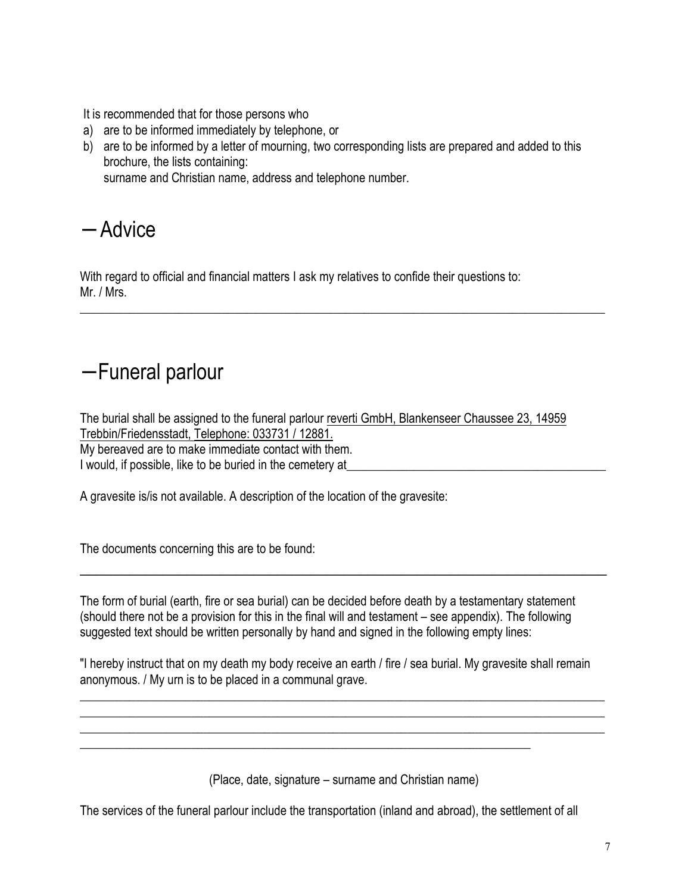It is recommended that for those persons who

- a) are to be informed immediately by telephone, or
- b) are to be informed by a letter of mourning, two corresponding lists are prepared and added to this brochure, the lists containing: surname and Christian name, address and telephone number.

 $\_$  , and the set of the set of the set of the set of the set of the set of the set of the set of the set of the set of the set of the set of the set of the set of the set of the set of the set of the set of the set of th

− Advice

With regard to official and financial matters I ask my relatives to confide their questions to: Mr. / Mrs.

#### − Funeral parlour

The burial shall be assigned to the funeral parlour reverti GmbH, Blankenseer Chaussee 23, 14959 Trebbin/Friedensstadt, Telephone: 033731 / 12881. My bereaved are to make immediate contact with them. I would, if possible, like to be buried in the cemetery at

A gravesite is/is not available. A description of the location of the gravesite:

The documents concerning this are to be found:

The form of burial (earth, fire or sea burial) can be decided before death by a testamentary statement (should there not be a provision for this in the final will and testament – see appendix). The following suggested text should be written personally by hand and signed in the following empty lines:

 $\overline{a_1}$  ,  $\overline{a_2}$  ,  $\overline{a_3}$  ,  $\overline{a_4}$  ,  $\overline{a_5}$  ,  $\overline{a_6}$  ,  $\overline{a_7}$  ,  $\overline{a_8}$  ,  $\overline{a_9}$  ,  $\overline{a_9}$  ,  $\overline{a_9}$  ,  $\overline{a_9}$  ,  $\overline{a_9}$  ,  $\overline{a_9}$  ,  $\overline{a_9}$  ,  $\overline{a_9}$  ,  $\overline{a_9}$  ,

"I hereby instruct that on my death my body receive an earth / fire / sea burial. My gravesite shall remain anonymous. / My urn is to be placed in a communal grave.

 $\_$  , and the set of the set of the set of the set of the set of the set of the set of the set of the set of the set of the set of the set of the set of the set of the set of the set of the set of the set of the set of th \_\_\_\_\_\_\_\_\_\_\_\_\_\_\_\_\_\_\_\_\_\_\_\_\_\_\_\_\_\_\_\_\_\_\_\_\_\_\_\_\_\_\_\_\_\_\_\_\_\_\_\_\_\_\_\_\_\_\_\_\_\_\_\_\_\_\_\_\_\_\_\_\_\_\_\_\_\_\_\_\_\_\_\_\_  $\_$  , and the set of the set of the set of the set of the set of the set of the set of the set of the set of the set of the set of the set of the set of the set of the set of the set of the set of the set of the set of th

(Place, date, signature – surname and Christian name)

The services of the funeral parlour include the transportation (inland and abroad), the settlement of all

\_\_\_\_\_\_\_\_\_\_\_\_\_\_\_\_\_\_\_\_\_\_\_\_\_\_\_\_\_\_\_\_\_\_\_\_\_\_\_\_\_\_\_\_\_\_\_\_\_\_\_\_\_\_\_\_\_\_\_\_\_\_\_\_\_\_\_\_\_\_\_\_\_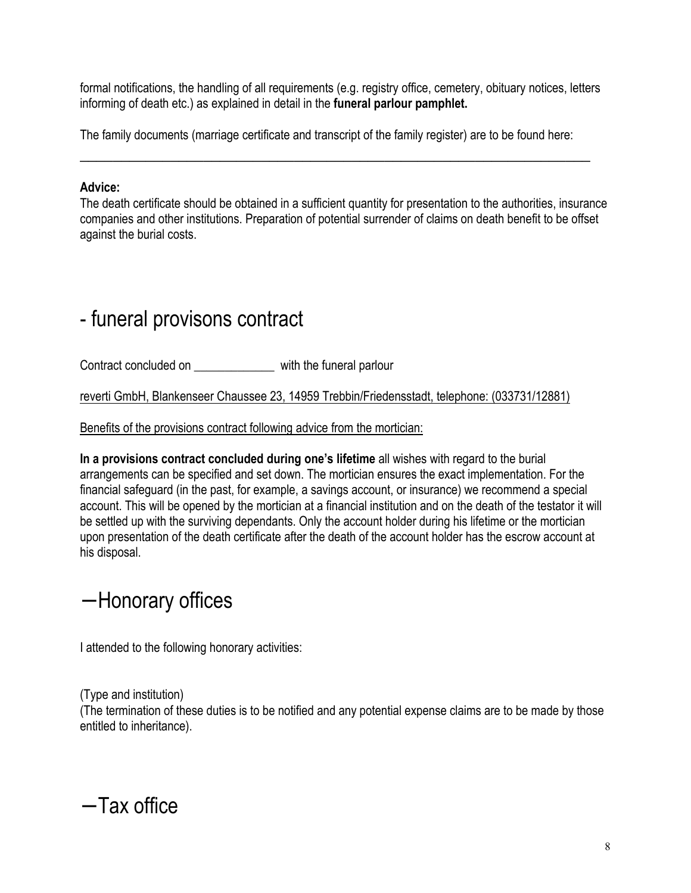formal notifications, the handling of all requirements (e.g. registry office, cemetery, obituary notices, letters informing of death etc.) as explained in detail in the **funeral parlour pamphlet.**

The family documents (marriage certificate and transcript of the family register) are to be found here:

 $\overline{a_1}$  , and the contribution of the contribution of the contribution of the contribution of the contribution of the contribution of the contribution of the contribution of the contribution of the contribution of the

#### **Advice:**

The death certificate should be obtained in a sufficient quantity for presentation to the authorities, insurance companies and other institutions. Preparation of potential surrender of claims on death benefit to be offset against the burial costs.

#### - funeral provisons contract

Contract concluded on \_\_\_\_\_\_\_\_\_\_\_\_\_ with the funeral parlour

reverti GmbH, Blankenseer Chaussee 23, 14959 Trebbin/Friedensstadt, telephone: (033731/12881)

Benefits of the provisions contract following advice from the mortician:

**In a provisions contract concluded during one's lifetime** all wishes with regard to the burial arrangements can be specified and set down. The mortician ensures the exact implementation. For the financial safeguard (in the past, for example, a savings account, or insurance) we recommend a special account. This will be opened by the mortician at a financial institution and on the death of the testator it will be settled up with the surviving dependants. Only the account holder during his lifetime or the mortician upon presentation of the death certificate after the death of the account holder has the escrow account at his disposal.

#### − Honorary offices

I attended to the following honorary activities:

(Type and institution) (The termination of these duties is to be notified and any potential expense claims are to be made by those entitled to inheritance).

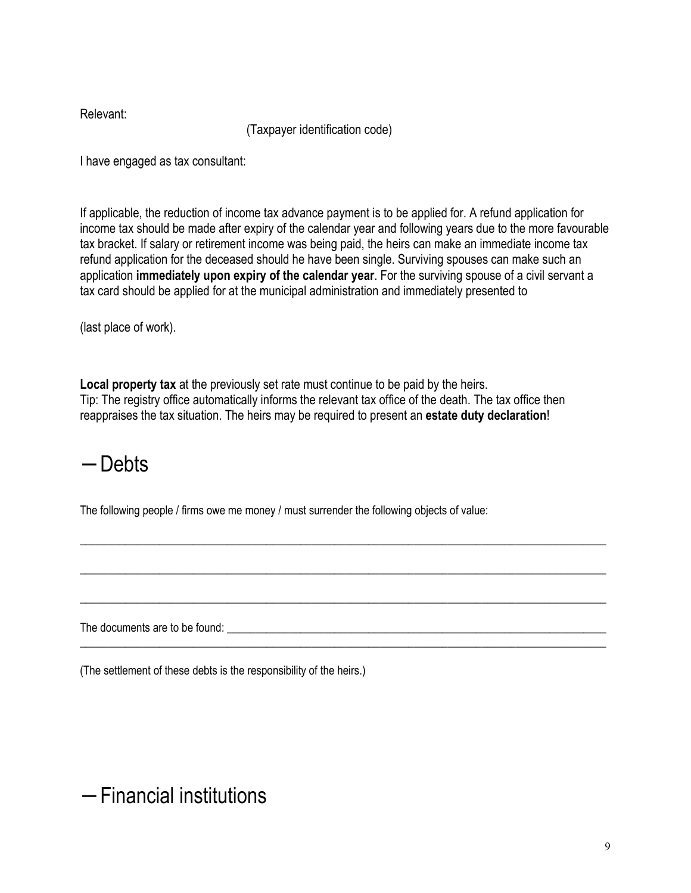Relevant:

(Taxpayer identification code)

I have engaged as tax consultant:

If applicable, the reduction of income tax advance payment is to be applied for. A refund application for income tax should be made after expiry of the calendar year and following years due to the more favourable tax bracket. If salary or retirement income was being paid, the heirs can make an immediate income tax refund application for the deceased should he have been single. Surviving spouses can make such an application **immediately upon expiry of the calendar year**. For the surviving spouse of a civil servant a tax card should be applied for at the municipal administration and immediately presented to

(last place of work).

**Local property tax** at the previously set rate must continue to be paid by the heirs. Tip: The registry office automatically informs the relevant tax office of the death. The tax office then reappraises the tax situation. The heirs may be required to present an **estate duty declaration**!

\_\_\_\_\_\_\_\_\_\_\_\_\_\_\_\_\_\_\_\_\_\_\_\_\_\_\_\_\_\_\_\_\_\_\_\_\_\_\_\_\_\_\_\_\_\_\_\_\_\_\_\_\_\_\_\_\_\_\_\_\_\_\_\_\_\_\_\_\_\_\_\_\_\_\_\_\_\_\_\_\_\_\_\_\_\_\_\_\_\_\_\_\_

\_\_\_\_\_\_\_\_\_\_\_\_\_\_\_\_\_\_\_\_\_\_\_\_\_\_\_\_\_\_\_\_\_\_\_\_\_\_\_\_\_\_\_\_\_\_\_\_\_\_\_\_\_\_\_\_\_\_\_\_\_\_\_\_\_\_\_\_\_\_\_\_\_\_\_\_\_\_\_\_\_\_\_\_\_\_\_\_\_\_\_\_\_

\_\_\_\_\_\_\_\_\_\_\_\_\_\_\_\_\_\_\_\_\_\_\_\_\_\_\_\_\_\_\_\_\_\_\_\_\_\_\_\_\_\_\_\_\_\_\_\_\_\_\_\_\_\_\_\_\_\_\_\_\_\_\_\_\_\_\_\_\_\_\_\_\_\_\_\_\_\_\_\_\_\_\_\_\_\_\_\_\_\_\_\_\_

\_\_\_\_\_\_\_\_\_\_\_\_\_\_\_\_\_\_\_\_\_\_\_\_\_\_\_\_\_\_\_\_\_\_\_\_\_\_\_\_\_\_\_\_\_\_\_\_\_\_\_\_\_\_\_\_\_\_\_\_\_\_\_\_\_\_\_\_\_\_\_\_\_\_\_\_\_\_\_\_\_\_\_\_\_\_\_\_\_\_\_\_\_

## − Debts

The following people / firms owe me money / must surrender the following objects of value:

The documents are to be found: \_\_\_\_\_\_\_\_\_\_\_\_\_\_\_\_\_\_\_\_\_\_\_\_\_\_\_\_\_\_\_\_\_\_\_\_\_\_\_\_\_\_\_\_\_\_\_\_\_\_\_\_\_\_\_\_\_\_\_\_\_\_\_\_\_\_\_

(The settlement of these debts is the responsibility of the heirs.)

− Financial institutions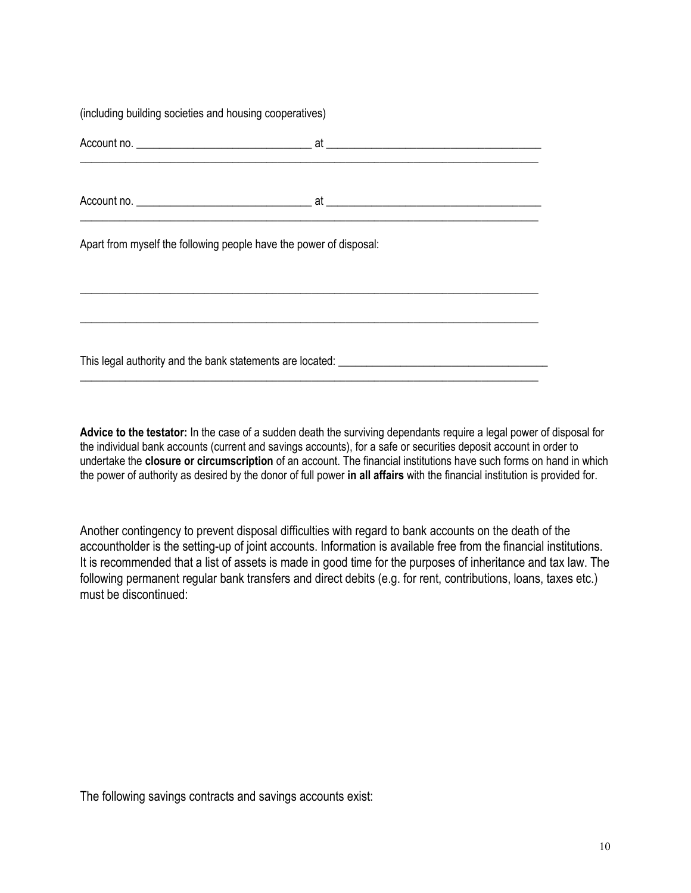(including building societies and housing cooperatives)

| Apart from myself the following people have the power of disposal: |  |  |  |  |
|--------------------------------------------------------------------|--|--|--|--|
|                                                                    |  |  |  |  |
|                                                                    |  |  |  |  |

\_\_\_\_\_\_\_\_\_\_\_\_\_\_\_\_\_\_\_\_\_\_\_\_\_\_\_\_\_\_\_\_\_\_\_\_\_\_\_\_\_\_\_\_\_\_\_\_\_\_\_\_\_\_\_\_\_\_\_\_\_\_\_\_\_\_\_\_\_\_\_\_\_\_\_\_\_\_\_\_\_

**Advice to the testator:** In the case of a sudden death the surviving dependants require a legal power of disposal for the individual bank accounts (current and savings accounts), for a safe or securities deposit account in order to undertake the **closure or circumscription** of an account. The financial institutions have such forms on hand in which the power of authority as desired by the donor of full power **in all affairs** with the financial institution is provided for.

Another contingency to prevent disposal difficulties with regard to bank accounts on the death of the accountholder is the setting-up of joint accounts. Information is available free from the financial institutions. It is recommended that a list of assets is made in good time for the purposes of inheritance and tax law. The following permanent regular bank transfers and direct debits (e.g. for rent, contributions, loans, taxes etc.) must be discontinued:

The following savings contracts and savings accounts exist: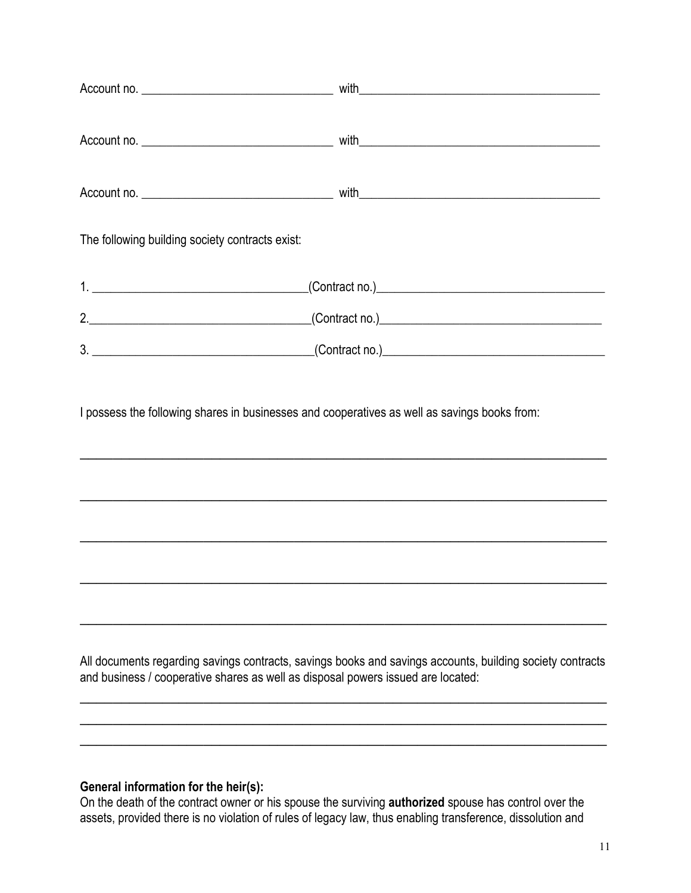| The following building society contracts exist: |                                   |  |
|-------------------------------------------------|-----------------------------------|--|
|                                                 |                                   |  |
|                                                 | 2. (Contract no.) 2. 2. 2. (2001) |  |
|                                                 |                                   |  |

I possess the following shares in businesses and cooperatives as well as savings books from:

\_\_\_\_\_\_\_\_\_\_\_\_\_\_\_\_\_\_\_\_\_\_\_\_\_\_\_\_\_\_\_\_\_\_\_\_\_\_\_\_\_\_\_\_\_\_\_\_\_\_\_\_\_\_\_\_\_\_\_\_\_\_\_\_

 $\overline{a_1}$  ,  $\overline{a_2}$  ,  $\overline{a_3}$  ,  $\overline{a_4}$  ,  $\overline{a_5}$  ,  $\overline{a_6}$  ,  $\overline{a_7}$  ,  $\overline{a_8}$  ,  $\overline{a_9}$  ,  $\overline{a_9}$  ,  $\overline{a_9}$  ,  $\overline{a_9}$  ,  $\overline{a_9}$  ,  $\overline{a_9}$  ,  $\overline{a_9}$  ,  $\overline{a_9}$  ,  $\overline{a_9}$  ,

 $\overline{a_1}$  ,  $\overline{a_2}$  ,  $\overline{a_3}$  ,  $\overline{a_4}$  ,  $\overline{a_5}$  ,  $\overline{a_6}$  ,  $\overline{a_7}$  ,  $\overline{a_8}$  ,  $\overline{a_9}$  ,  $\overline{a_9}$  ,  $\overline{a_9}$  ,  $\overline{a_9}$  ,  $\overline{a_9}$  ,  $\overline{a_9}$  ,  $\overline{a_9}$  ,  $\overline{a_9}$  ,  $\overline{a_9}$  ,

 $\overline{a_1}$  ,  $\overline{a_2}$  ,  $\overline{a_3}$  ,  $\overline{a_4}$  ,  $\overline{a_5}$  ,  $\overline{a_6}$  ,  $\overline{a_7}$  ,  $\overline{a_8}$  ,  $\overline{a_9}$  ,  $\overline{a_9}$  ,  $\overline{a_9}$  ,  $\overline{a_9}$  ,  $\overline{a_9}$  ,  $\overline{a_9}$  ,  $\overline{a_9}$  ,  $\overline{a_9}$  ,  $\overline{a_9}$  ,

 $\overline{a_1}$  ,  $\overline{a_2}$  ,  $\overline{a_3}$  ,  $\overline{a_4}$  ,  $\overline{a_5}$  ,  $\overline{a_6}$  ,  $\overline{a_7}$  ,  $\overline{a_8}$  ,  $\overline{a_9}$  ,  $\overline{a_9}$  ,  $\overline{a_9}$  ,  $\overline{a_9}$  ,  $\overline{a_9}$  ,  $\overline{a_9}$  ,  $\overline{a_9}$  ,  $\overline{a_9}$  ,  $\overline{a_9}$  ,

All documents regarding savings contracts, savings books and savings accounts, building society contracts and business / cooperative shares as well as disposal powers issued are located:

 $\overline{a_1}$  ,  $\overline{a_2}$  ,  $\overline{a_3}$  ,  $\overline{a_4}$  ,  $\overline{a_5}$  ,  $\overline{a_6}$  ,  $\overline{a_7}$  ,  $\overline{a_8}$  ,  $\overline{a_9}$  ,  $\overline{a_9}$  ,  $\overline{a_9}$  ,  $\overline{a_9}$  ,  $\overline{a_9}$  ,  $\overline{a_9}$  ,  $\overline{a_9}$  ,  $\overline{a_9}$  ,  $\overline{a_9}$  , \_\_\_\_\_\_\_\_\_\_\_\_\_\_\_\_\_\_\_\_\_\_\_\_\_\_\_\_\_\_\_\_\_\_\_\_\_\_\_\_\_\_\_\_\_\_\_\_\_\_\_\_\_\_\_\_\_\_\_\_\_\_\_\_  $\overline{a_1}$  ,  $\overline{a_2}$  ,  $\overline{a_3}$  ,  $\overline{a_4}$  ,  $\overline{a_5}$  ,  $\overline{a_6}$  ,  $\overline{a_7}$  ,  $\overline{a_8}$  ,  $\overline{a_9}$  ,  $\overline{a_9}$  ,  $\overline{a_9}$  ,  $\overline{a_9}$  ,  $\overline{a_9}$  ,  $\overline{a_9}$  ,  $\overline{a_9}$  ,  $\overline{a_9}$  ,  $\overline{a_9}$  ,

#### **General information for the heir(s):**

On the death of the contract owner or his spouse the surviving **authorized** spouse has control over the assets, provided there is no violation of rules of legacy law, thus enabling transference, dissolution and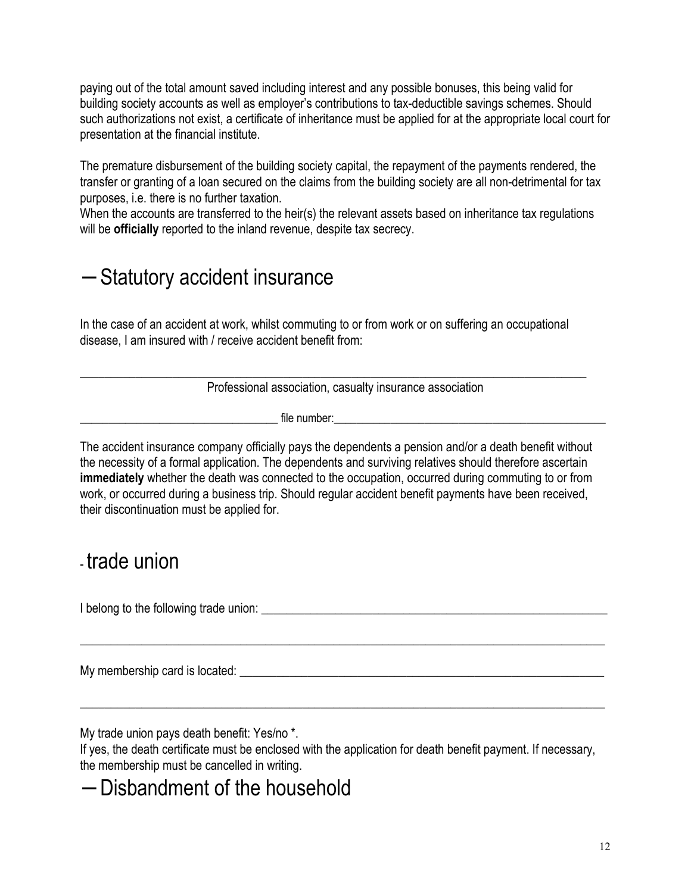paying out of the total amount saved including interest and any possible bonuses, this being valid for building society accounts as well as employer's contributions to tax-deductible savings schemes. Should such authorizations not exist, a certificate of inheritance must be applied for at the appropriate local court for presentation at the financial institute.

The premature disbursement of the building society capital, the repayment of the payments rendered, the transfer or granting of a loan secured on the claims from the building society are all non-detrimental for tax purposes, i.e. there is no further taxation.

When the accounts are transferred to the heir(s) the relevant assets based on inheritance tax regulations will be **officially** reported to the inland revenue, despite tax secrecy.

#### − Statutory accident insurance

In the case of an accident at work, whilst commuting to or from work or on suffering an occupational disease, I am insured with / receive accident benefit from:

\_\_\_\_\_\_\_\_\_\_\_\_\_\_\_\_\_\_\_\_\_\_\_\_\_\_\_\_\_\_\_\_\_\_\_\_\_\_\_\_\_\_\_\_\_\_\_\_\_\_\_\_\_\_\_\_\_\_\_\_\_\_\_\_\_\_\_\_\_\_\_\_\_\_\_\_\_\_\_\_\_\_

Professional association, casualty insurance association

 $\mathsf{file\ number:}\qquad$ 

The accident insurance company officially pays the dependents a pension and/or a death benefit without the necessity of a formal application. The dependents and surviving relatives should therefore ascertain **immediately** whether the death was connected to the occupation, occurred during commuting to or from work, or occurred during a business trip. Should regular accident benefit payments have been received, their discontinuation must be applied for.

#### - trade union

I belong to the following trade union: \_\_\_\_\_\_\_\_\_\_\_\_\_\_\_\_\_\_\_\_\_\_\_\_\_\_\_\_\_\_\_\_\_\_\_\_\_\_\_\_\_\_\_\_\_\_\_\_\_\_\_\_\_\_\_\_

My membership card is located:  $\blacksquare$ 

My trade union pays death benefit: Yes/no \*.

If yes, the death certificate must be enclosed with the application for death benefit payment. If necessary, the membership must be cancelled in writing.

 $\_$  , and the set of the set of the set of the set of the set of the set of the set of the set of the set of the set of the set of the set of the set of the set of the set of the set of the set of the set of the set of th

\_\_\_\_\_\_\_\_\_\_\_\_\_\_\_\_\_\_\_\_\_\_\_\_\_\_\_\_\_\_\_\_\_\_\_\_\_\_\_\_\_\_\_\_\_\_\_\_\_\_\_\_\_\_\_\_\_\_\_\_\_\_\_\_\_\_\_\_\_\_\_\_\_\_\_\_\_\_\_\_\_\_\_\_\_

#### − Disbandment of the household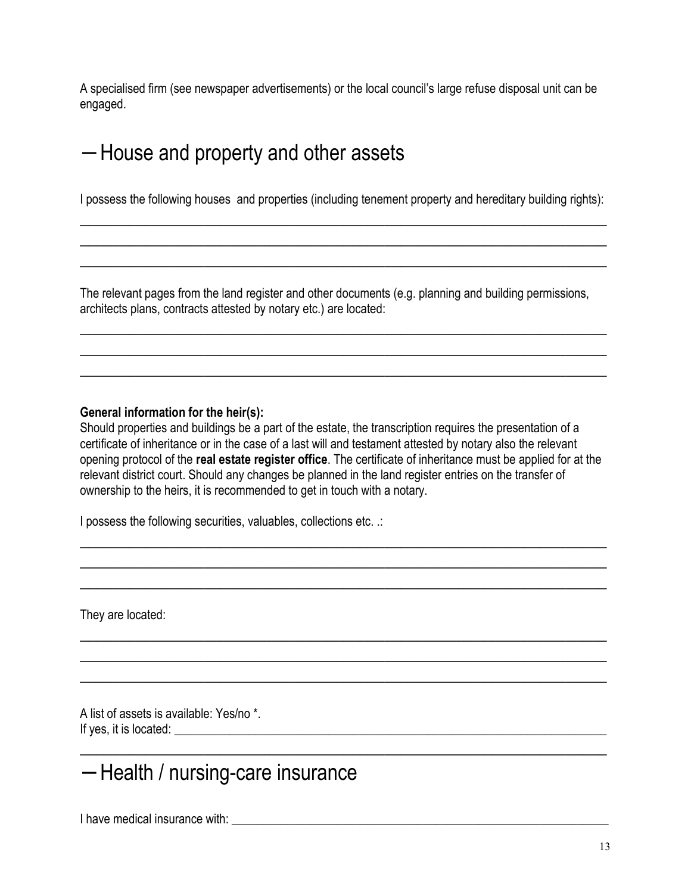A specialised firm (see newspaper advertisements) or the local council's large refuse disposal unit can be engaged.

#### − House and property and other assets

I possess the following houses and properties (including tenement property and hereditary building rights):  $\overline{a_1}$  ,  $\overline{a_2}$  ,  $\overline{a_3}$  ,  $\overline{a_4}$  ,  $\overline{a_5}$  ,  $\overline{a_6}$  ,  $\overline{a_7}$  ,  $\overline{a_8}$  ,  $\overline{a_9}$  ,  $\overline{a_9}$  ,  $\overline{a_9}$  ,  $\overline{a_9}$  ,  $\overline{a_9}$  ,  $\overline{a_9}$  ,  $\overline{a_9}$  ,  $\overline{a_9}$  ,  $\overline{a_9}$  ,

\_\_\_\_\_\_\_\_\_\_\_\_\_\_\_\_\_\_\_\_\_\_\_\_\_\_\_\_\_\_\_\_\_\_\_\_\_\_\_\_\_\_\_\_\_\_\_\_\_\_\_\_\_\_\_\_\_\_\_\_\_\_\_\_ \_\_\_\_\_\_\_\_\_\_\_\_\_\_\_\_\_\_\_\_\_\_\_\_\_\_\_\_\_\_\_\_\_\_\_\_\_\_\_\_\_\_\_\_\_\_\_\_\_\_\_\_\_\_\_\_\_\_\_\_\_\_\_\_

The relevant pages from the land register and other documents (e.g. planning and building permissions, architects plans, contracts attested by notary etc.) are located:

\_\_\_\_\_\_\_\_\_\_\_\_\_\_\_\_\_\_\_\_\_\_\_\_\_\_\_\_\_\_\_\_\_\_\_\_\_\_\_\_\_\_\_\_\_\_\_\_\_\_\_\_\_\_\_\_\_\_\_\_\_\_\_\_ \_\_\_\_\_\_\_\_\_\_\_\_\_\_\_\_\_\_\_\_\_\_\_\_\_\_\_\_\_\_\_\_\_\_\_\_\_\_\_\_\_\_\_\_\_\_\_\_\_\_\_\_\_\_\_\_\_\_\_\_\_\_\_\_ \_\_\_\_\_\_\_\_\_\_\_\_\_\_\_\_\_\_\_\_\_\_\_\_\_\_\_\_\_\_\_\_\_\_\_\_\_\_\_\_\_\_\_\_\_\_\_\_\_\_\_\_\_\_\_\_\_\_\_\_\_\_\_\_

#### **General information for the heir(s):**

Should properties and buildings be a part of the estate, the transcription requires the presentation of a certificate of inheritance or in the case of a last will and testament attested by notary also the relevant opening protocol of the **real estate register office**. The certificate of inheritance must be applied for at the relevant district court. Should any changes be planned in the land register entries on the transfer of ownership to the heirs, it is recommended to get in touch with a notary.

\_\_\_\_\_\_\_\_\_\_\_\_\_\_\_\_\_\_\_\_\_\_\_\_\_\_\_\_\_\_\_\_\_\_\_\_\_\_\_\_\_\_\_\_\_\_\_\_\_\_\_\_\_\_\_\_\_\_\_\_\_\_\_\_  $\overline{a_1}$  ,  $\overline{a_2}$  ,  $\overline{a_3}$  ,  $\overline{a_4}$  ,  $\overline{a_5}$  ,  $\overline{a_6}$  ,  $\overline{a_7}$  ,  $\overline{a_8}$  ,  $\overline{a_9}$  ,  $\overline{a_9}$  ,  $\overline{a_9}$  ,  $\overline{a_9}$  ,  $\overline{a_9}$  ,  $\overline{a_9}$  ,  $\overline{a_9}$  ,  $\overline{a_9}$  ,  $\overline{a_9}$  ,  $\overline{a_1}$  ,  $\overline{a_2}$  ,  $\overline{a_3}$  ,  $\overline{a_4}$  ,  $\overline{a_5}$  ,  $\overline{a_6}$  ,  $\overline{a_7}$  ,  $\overline{a_8}$  ,  $\overline{a_9}$  ,  $\overline{a_9}$  ,  $\overline{a_9}$  ,  $\overline{a_9}$  ,  $\overline{a_9}$  ,  $\overline{a_9}$  ,  $\overline{a_9}$  ,  $\overline{a_9}$  ,  $\overline{a_9}$  ,

\_\_\_\_\_\_\_\_\_\_\_\_\_\_\_\_\_\_\_\_\_\_\_\_\_\_\_\_\_\_\_\_\_\_\_\_\_\_\_\_\_\_\_\_\_\_\_\_\_\_\_\_\_\_\_\_\_\_\_\_\_\_\_\_ \_\_\_\_\_\_\_\_\_\_\_\_\_\_\_\_\_\_\_\_\_\_\_\_\_\_\_\_\_\_\_\_\_\_\_\_\_\_\_\_\_\_\_\_\_\_\_\_\_\_\_\_\_\_\_\_\_\_\_\_\_\_\_\_ \_\_\_\_\_\_\_\_\_\_\_\_\_\_\_\_\_\_\_\_\_\_\_\_\_\_\_\_\_\_\_\_\_\_\_\_\_\_\_\_\_\_\_\_\_\_\_\_\_\_\_\_\_\_\_\_\_\_\_\_\_\_\_\_

 $\frac{1}{2}$  ,  $\frac{1}{2}$  ,  $\frac{1}{2}$  ,  $\frac{1}{2}$  ,  $\frac{1}{2}$  ,  $\frac{1}{2}$  ,  $\frac{1}{2}$  ,  $\frac{1}{2}$  ,  $\frac{1}{2}$  ,  $\frac{1}{2}$  ,  $\frac{1}{2}$  ,  $\frac{1}{2}$  ,  $\frac{1}{2}$  ,  $\frac{1}{2}$  ,  $\frac{1}{2}$  ,  $\frac{1}{2}$  ,  $\frac{1}{2}$  ,  $\frac{1}{2}$  ,  $\frac{1$ 

I possess the following securities, valuables, collections etc. .:

They are located:

A list of assets is available: Yes/no \*. If yes, it is located: \_\_\_\_\_\_\_\_\_\_\_\_\_\_\_\_\_\_\_\_\_\_\_\_\_\_\_\_\_\_\_\_\_\_\_\_\_\_\_\_\_\_\_\_\_\_\_\_\_\_\_\_\_\_\_\_\_\_\_\_\_\_\_\_\_\_\_\_\_\_

## − Health / nursing-care insurance

I have medical insurance with:  $\blacksquare$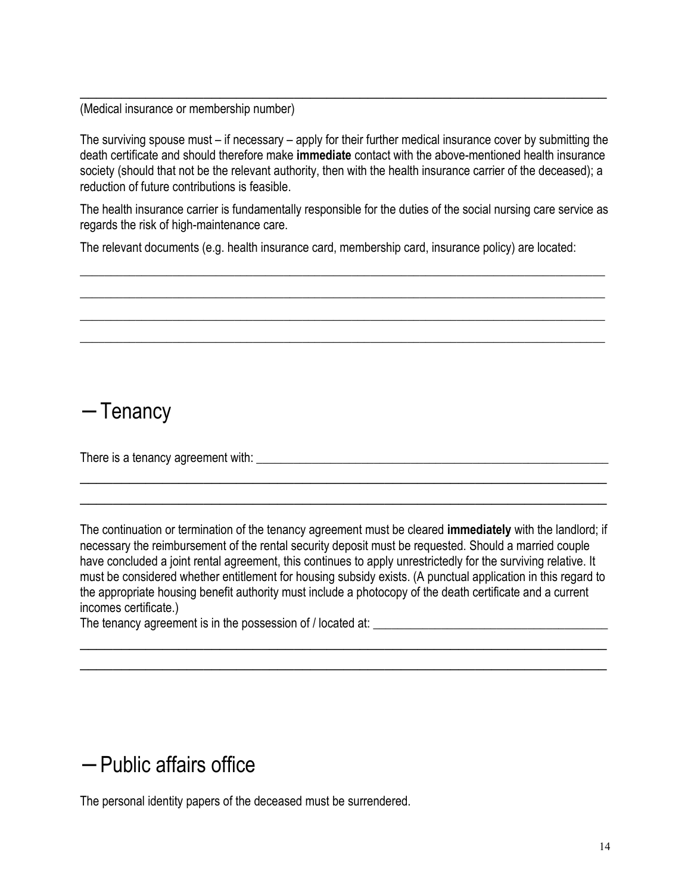(Medical insurance or membership number)

The surviving spouse must – if necessary – apply for their further medical insurance cover by submitting the death certificate and should therefore make **immediate** contact with the above-mentioned health insurance society (should that not be the relevant authority, then with the health insurance carrier of the deceased); a reduction of future contributions is feasible.

 $\overline{a_1}$  ,  $\overline{a_2}$  ,  $\overline{a_3}$  ,  $\overline{a_4}$  ,  $\overline{a_5}$  ,  $\overline{a_6}$  ,  $\overline{a_7}$  ,  $\overline{a_8}$  ,  $\overline{a_9}$  ,  $\overline{a_9}$  ,  $\overline{a_9}$  ,  $\overline{a_9}$  ,  $\overline{a_9}$  ,  $\overline{a_9}$  ,  $\overline{a_9}$  ,  $\overline{a_9}$  ,  $\overline{a_9}$  ,

The health insurance carrier is fundamentally responsible for the duties of the social nursing care service as regards the risk of high-maintenance care.

 $\_$  , and the set of the set of the set of the set of the set of the set of the set of the set of the set of the set of the set of the set of the set of the set of the set of the set of the set of the set of the set of th \_\_\_\_\_\_\_\_\_\_\_\_\_\_\_\_\_\_\_\_\_\_\_\_\_\_\_\_\_\_\_\_\_\_\_\_\_\_\_\_\_\_\_\_\_\_\_\_\_\_\_\_\_\_\_\_\_\_\_\_\_\_\_\_\_\_\_\_\_\_\_\_\_\_\_\_\_\_\_\_\_\_\_\_\_ \_\_\_\_\_\_\_\_\_\_\_\_\_\_\_\_\_\_\_\_\_\_\_\_\_\_\_\_\_\_\_\_\_\_\_\_\_\_\_\_\_\_\_\_\_\_\_\_\_\_\_\_\_\_\_\_\_\_\_\_\_\_\_\_\_\_\_\_\_\_\_\_\_\_\_\_\_\_\_\_\_\_\_\_\_  $\_$  , and the set of the set of the set of the set of the set of the set of the set of the set of the set of the set of the set of the set of the set of the set of the set of the set of the set of the set of the set of th

The relevant documents (e.g. health insurance card, membership card, insurance policy) are located:

#### − Tenancy

There is a tenancy agreement with:  $\blacksquare$ 

The continuation or termination of the tenancy agreement must be cleared **immediately** with the landlord; if necessary the reimbursement of the rental security deposit must be requested. Should a married couple have concluded a joint rental agreement, this continues to apply unrestrictedly for the surviving relative. It must be considered whether entitlement for housing subsidy exists. (A punctual application in this regard to the appropriate housing benefit authority must include a photocopy of the death certificate and a current incomes certificate.)

 $\overline{a_1}$  ,  $\overline{a_2}$  ,  $\overline{a_3}$  ,  $\overline{a_4}$  ,  $\overline{a_5}$  ,  $\overline{a_6}$  ,  $\overline{a_7}$  ,  $\overline{a_8}$  ,  $\overline{a_9}$  ,  $\overline{a_9}$  ,  $\overline{a_9}$  ,  $\overline{a_9}$  ,  $\overline{a_9}$  ,  $\overline{a_9}$  ,  $\overline{a_9}$  ,  $\overline{a_9}$  ,  $\overline{a_9}$  ,  $\overline{a_1}$  ,  $\overline{a_2}$  ,  $\overline{a_3}$  ,  $\overline{a_4}$  ,  $\overline{a_5}$  ,  $\overline{a_6}$  ,  $\overline{a_7}$  ,  $\overline{a_8}$  ,  $\overline{a_9}$  ,  $\overline{a_9}$  ,  $\overline{a_9}$  ,  $\overline{a_9}$  ,  $\overline{a_9}$  ,  $\overline{a_9}$  ,  $\overline{a_9}$  ,  $\overline{a_9}$  ,  $\overline{a_9}$  ,

 $\overline{a_1}$  ,  $\overline{a_2}$  ,  $\overline{a_3}$  ,  $\overline{a_4}$  ,  $\overline{a_5}$  ,  $\overline{a_6}$  ,  $\overline{a_7}$  ,  $\overline{a_8}$  ,  $\overline{a_9}$  ,  $\overline{a_9}$  ,  $\overline{a_9}$  ,  $\overline{a_9}$  ,  $\overline{a_9}$  ,  $\overline{a_9}$  ,  $\overline{a_9}$  ,  $\overline{a_9}$  ,  $\overline{a_9}$  ,  $\overline{a_1}$  ,  $\overline{a_2}$  ,  $\overline{a_3}$  ,  $\overline{a_4}$  ,  $\overline{a_5}$  ,  $\overline{a_6}$  ,  $\overline{a_7}$  ,  $\overline{a_8}$  ,  $\overline{a_9}$  ,  $\overline{a_9}$  ,  $\overline{a_9}$  ,  $\overline{a_9}$  ,  $\overline{a_9}$  ,  $\overline{a_9}$  ,  $\overline{a_9}$  ,  $\overline{a_9}$  ,  $\overline{a_9}$  ,

The tenancy agreement is in the possession of / located at: \_\_\_\_\_\_\_\_\_\_\_\_\_\_\_\_\_\_\_\_\_

## − Public affairs office

The personal identity papers of the deceased must be surrendered.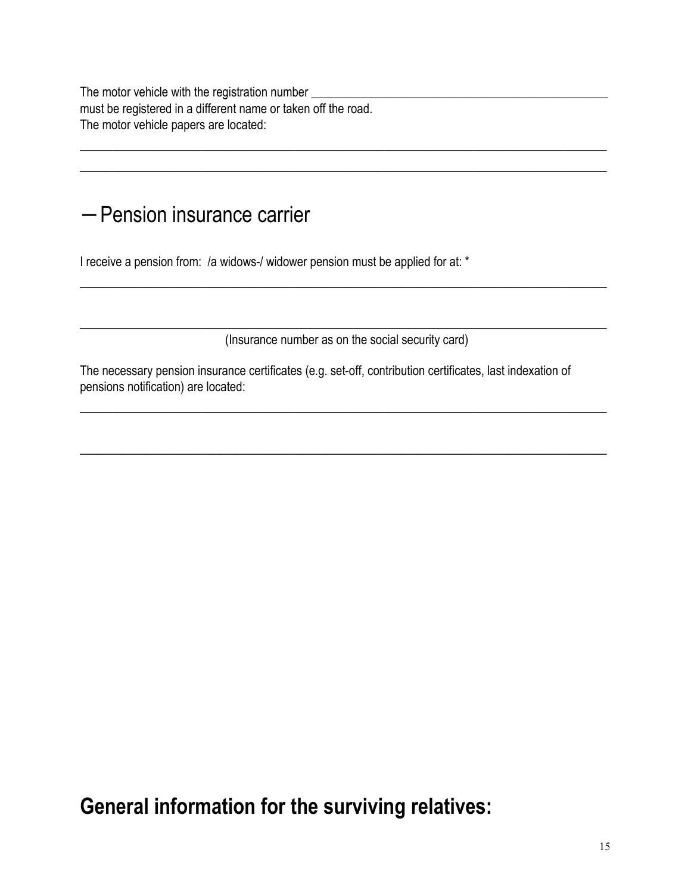The motor vehicle with the registration number \_\_\_\_\_\_\_\_\_\_\_\_\_\_\_\_\_\_\_\_\_\_\_\_\_\_\_\_\_\_\_\_\_ must be registered in a different name or taken off the road. The motor vehicle papers are located:

#### − Pension insurance carrier

I receive a pension from: /a widows-/ widower pension must be applied for at: \*

\_\_\_\_\_\_\_\_\_\_\_\_\_\_\_\_\_\_\_\_\_\_\_\_\_\_\_\_\_\_\_\_\_\_\_\_\_\_\_\_\_\_\_\_\_\_\_\_\_\_\_\_\_\_\_\_\_\_\_\_\_\_\_\_ (Insurance number as on the social security card)

 $\overline{a_1}$  ,  $\overline{a_2}$  ,  $\overline{a_3}$  ,  $\overline{a_4}$  ,  $\overline{a_5}$  ,  $\overline{a_6}$  ,  $\overline{a_7}$  ,  $\overline{a_8}$  ,  $\overline{a_9}$  ,  $\overline{a_9}$  ,  $\overline{a_9}$  ,  $\overline{a_9}$  ,  $\overline{a_9}$  ,  $\overline{a_9}$  ,  $\overline{a_9}$  ,  $\overline{a_9}$  ,  $\overline{a_9}$  ,

 $\overline{a_1}$  ,  $\overline{a_2}$  ,  $\overline{a_3}$  ,  $\overline{a_4}$  ,  $\overline{a_5}$  ,  $\overline{a_6}$  ,  $\overline{a_7}$  ,  $\overline{a_8}$  ,  $\overline{a_9}$  ,  $\overline{a_9}$  ,  $\overline{a_9}$  ,  $\overline{a_9}$  ,  $\overline{a_9}$  ,  $\overline{a_9}$  ,  $\overline{a_9}$  ,  $\overline{a_9}$  ,  $\overline{a_9}$  ,

\_\_\_\_\_\_\_\_\_\_\_\_\_\_\_\_\_\_\_\_\_\_\_\_\_\_\_\_\_\_\_\_\_\_\_\_\_\_\_\_\_\_\_\_\_\_\_\_\_\_\_\_\_\_\_\_\_\_\_\_\_\_\_\_

 $\overline{a_1}$  ,  $\overline{a_2}$  ,  $\overline{a_3}$  ,  $\overline{a_4}$  ,  $\overline{a_5}$  ,  $\overline{a_6}$  ,  $\overline{a_7}$  ,  $\overline{a_8}$  ,  $\overline{a_9}$  ,  $\overline{a_9}$  ,  $\overline{a_9}$  ,  $\overline{a_9}$  ,  $\overline{a_9}$  ,  $\overline{a_9}$  ,  $\overline{a_9}$  ,  $\overline{a_9}$  ,  $\overline{a_9}$  , \_\_\_\_\_\_\_\_\_\_\_\_\_\_\_\_\_\_\_\_\_\_\_\_\_\_\_\_\_\_\_\_\_\_\_\_\_\_\_\_\_\_\_\_\_\_\_\_\_\_\_\_\_\_\_\_\_\_\_\_\_\_\_\_

The necessary pension insurance certificates (e.g. set-off, contribution certificates, last indexation of pensions notification) are located:

**General information for the surviving relatives:**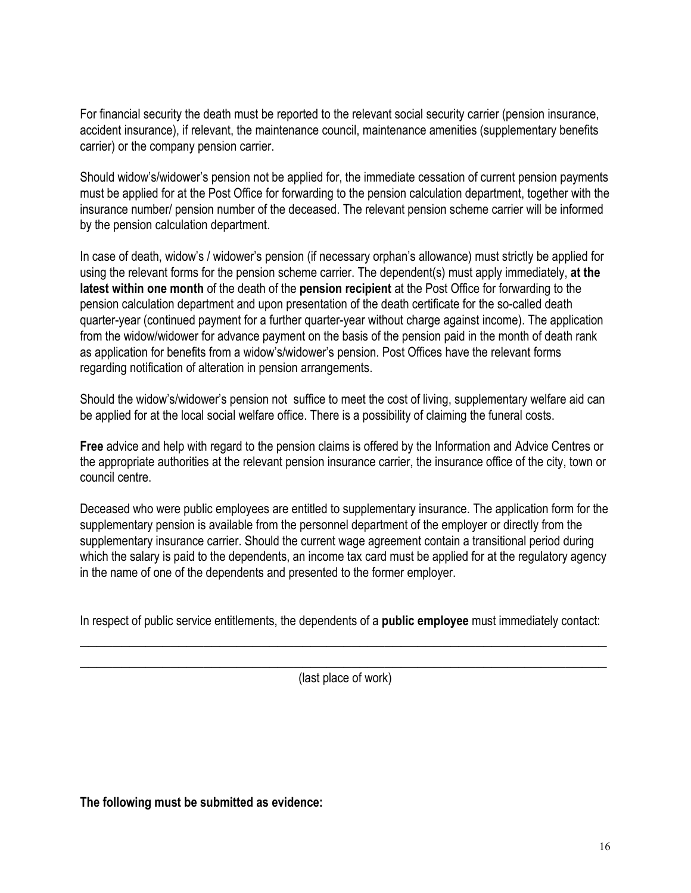For financial security the death must be reported to the relevant social security carrier (pension insurance, accident insurance), if relevant, the maintenance council, maintenance amenities (supplementary benefits carrier) or the company pension carrier.

Should widow's/widower's pension not be applied for, the immediate cessation of current pension payments must be applied for at the Post Office for forwarding to the pension calculation department, together with the insurance number/ pension number of the deceased. The relevant pension scheme carrier will be informed by the pension calculation department.

In case of death, widow's / widower's pension (if necessary orphan's allowance) must strictly be applied for using the relevant forms for the pension scheme carrier. The dependent(s) must apply immediately, **at the latest within one month** of the death of the **pension recipient** at the Post Office for forwarding to the pension calculation department and upon presentation of the death certificate for the so-called death quarter-year (continued payment for a further quarter-year without charge against income). The application from the widow/widower for advance payment on the basis of the pension paid in the month of death rank as application for benefits from a widow's/widower's pension. Post Offices have the relevant forms regarding notification of alteration in pension arrangements.

Should the widow's/widower's pension not suffice to meet the cost of living, supplementary welfare aid can be applied for at the local social welfare office. There is a possibility of claiming the funeral costs.

**Free** advice and help with regard to the pension claims is offered by the Information and Advice Centres or the appropriate authorities at the relevant pension insurance carrier, the insurance office of the city, town or council centre.

Deceased who were public employees are entitled to supplementary insurance. The application form for the supplementary pension is available from the personnel department of the employer or directly from the supplementary insurance carrier. Should the current wage agreement contain a transitional period during which the salary is paid to the dependents, an income tax card must be applied for at the regulatory agency in the name of one of the dependents and presented to the former employer.

In respect of public service entitlements, the dependents of a **public employee** must immediately contact:  $\overline{a_1}$  ,  $\overline{a_2}$  ,  $\overline{a_3}$  ,  $\overline{a_4}$  ,  $\overline{a_5}$  ,  $\overline{a_6}$  ,  $\overline{a_7}$  ,  $\overline{a_8}$  ,  $\overline{a_9}$  ,  $\overline{a_9}$  ,  $\overline{a_9}$  ,  $\overline{a_9}$  ,  $\overline{a_9}$  ,  $\overline{a_9}$  ,  $\overline{a_9}$  ,  $\overline{a_9}$  ,  $\overline{a_9}$  ,

 $\overline{a_1}$  ,  $\overline{a_2}$  ,  $\overline{a_3}$  ,  $\overline{a_4}$  ,  $\overline{a_5}$  ,  $\overline{a_6}$  ,  $\overline{a_7}$  ,  $\overline{a_8}$  ,  $\overline{a_9}$  ,  $\overline{a_9}$  ,  $\overline{a_9}$  ,  $\overline{a_9}$  ,  $\overline{a_9}$  ,  $\overline{a_9}$  ,  $\overline{a_9}$  ,  $\overline{a_9}$  ,  $\overline{a_9}$  , (last place of work)

**The following must be submitted as evidence:**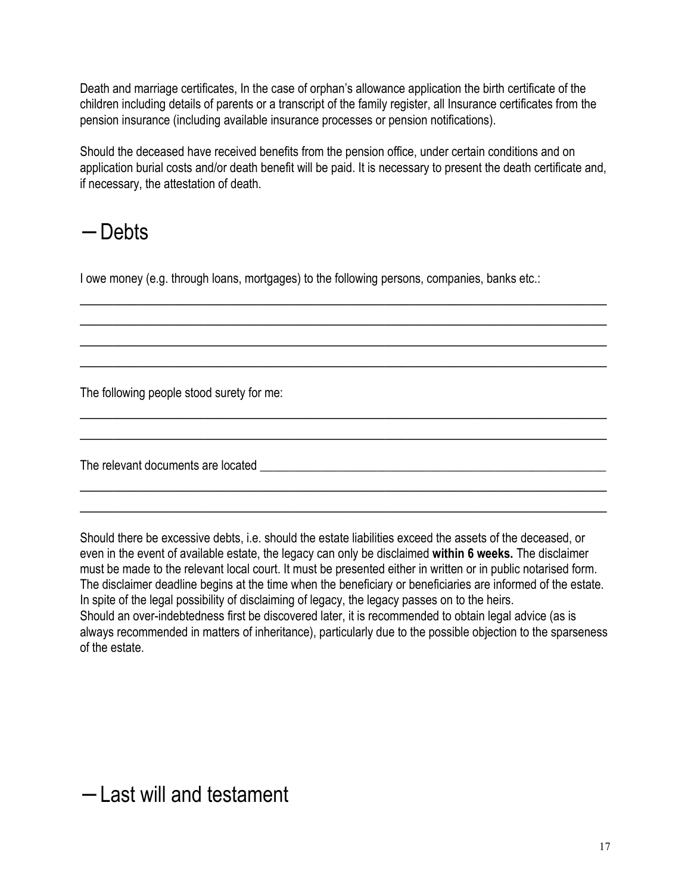Death and marriage certificates, In the case of orphan's allowance application the birth certificate of the children including details of parents or a transcript of the family register, all Insurance certificates from the pension insurance (including available insurance processes or pension notifications).

Should the deceased have received benefits from the pension office, under certain conditions and on application burial costs and/or death benefit will be paid. It is necessary to present the death certificate and, if necessary, the attestation of death.

 $\overline{a_1}$  ,  $\overline{a_2}$  ,  $\overline{a_3}$  ,  $\overline{a_4}$  ,  $\overline{a_5}$  ,  $\overline{a_6}$  ,  $\overline{a_7}$  ,  $\overline{a_8}$  ,  $\overline{a_9}$  ,  $\overline{a_9}$  ,  $\overline{a_9}$  ,  $\overline{a_9}$  ,  $\overline{a_9}$  ,  $\overline{a_9}$  ,  $\overline{a_9}$  ,  $\overline{a_9}$  ,  $\overline{a_9}$  ,  $\overline{a_1}$  ,  $\overline{a_2}$  ,  $\overline{a_3}$  ,  $\overline{a_4}$  ,  $\overline{a_5}$  ,  $\overline{a_6}$  ,  $\overline{a_7}$  ,  $\overline{a_8}$  ,  $\overline{a_9}$  ,  $\overline{a_9}$  ,  $\overline{a_9}$  ,  $\overline{a_9}$  ,  $\overline{a_9}$  ,  $\overline{a_9}$  ,  $\overline{a_9}$  ,  $\overline{a_9}$  ,  $\overline{a_9}$  ,  $\overline{a_1}$  ,  $\overline{a_2}$  ,  $\overline{a_3}$  ,  $\overline{a_4}$  ,  $\overline{a_5}$  ,  $\overline{a_6}$  ,  $\overline{a_7}$  ,  $\overline{a_8}$  ,  $\overline{a_9}$  ,  $\overline{a_9}$  ,  $\overline{a_9}$  ,  $\overline{a_9}$  ,  $\overline{a_9}$  ,  $\overline{a_9}$  ,  $\overline{a_9}$  ,  $\overline{a_9}$  ,  $\overline{a_9}$  , \_\_\_\_\_\_\_\_\_\_\_\_\_\_\_\_\_\_\_\_\_\_\_\_\_\_\_\_\_\_\_\_\_\_\_\_\_\_\_\_\_\_\_\_\_\_\_\_\_\_\_\_\_\_\_\_\_\_\_\_\_\_\_\_

 $\overline{a_1}$  ,  $\overline{a_2}$  ,  $\overline{a_3}$  ,  $\overline{a_4}$  ,  $\overline{a_5}$  ,  $\overline{a_6}$  ,  $\overline{a_7}$  ,  $\overline{a_8}$  ,  $\overline{a_9}$  ,  $\overline{a_9}$  ,  $\overline{a_9}$  ,  $\overline{a_9}$  ,  $\overline{a_9}$  ,  $\overline{a_9}$  ,  $\overline{a_9}$  ,  $\overline{a_9}$  ,  $\overline{a_9}$  ,  $\overline{a_1}$  ,  $\overline{a_2}$  ,  $\overline{a_3}$  ,  $\overline{a_4}$  ,  $\overline{a_5}$  ,  $\overline{a_6}$  ,  $\overline{a_7}$  ,  $\overline{a_8}$  ,  $\overline{a_9}$  ,  $\overline{a_9}$  ,  $\overline{a_9}$  ,  $\overline{a_9}$  ,  $\overline{a_9}$  ,  $\overline{a_9}$  ,  $\overline{a_9}$  ,  $\overline{a_9}$  ,  $\overline{a_9}$  ,

\_\_\_\_\_\_\_\_\_\_\_\_\_\_\_\_\_\_\_\_\_\_\_\_\_\_\_\_\_\_\_\_\_\_\_\_\_\_\_\_\_\_\_\_\_\_\_\_\_\_\_\_\_\_\_\_\_\_\_\_\_\_\_\_ \_\_\_\_\_\_\_\_\_\_\_\_\_\_\_\_\_\_\_\_\_\_\_\_\_\_\_\_\_\_\_\_\_\_\_\_\_\_\_\_\_\_\_\_\_\_\_\_\_\_\_\_\_\_\_\_\_\_\_\_\_\_\_\_

## − Debts

I owe money (e.g. through loans, mortgages) to the following persons, companies, banks etc.:

The following people stood surety for me:

The relevant documents are located **with an all of the set of the set of the set of the set of the set of the set of the set of the set of the set of the set of the set of the set of the set of the set of the set of the se** 

Should there be excessive debts, i.e. should the estate liabilities exceed the assets of the deceased, or even in the event of available estate, the legacy can only be disclaimed **within 6 weeks.** The disclaimer must be made to the relevant local court. It must be presented either in written or in public notarised form. The disclaimer deadline begins at the time when the beneficiary or beneficiaries are informed of the estate. In spite of the legal possibility of disclaiming of legacy, the legacy passes on to the heirs. Should an over-indebtedness first be discovered later, it is recommended to obtain legal advice (as is always recommended in matters of inheritance), particularly due to the possible objection to the sparseness of the estate.

## − Last will and testament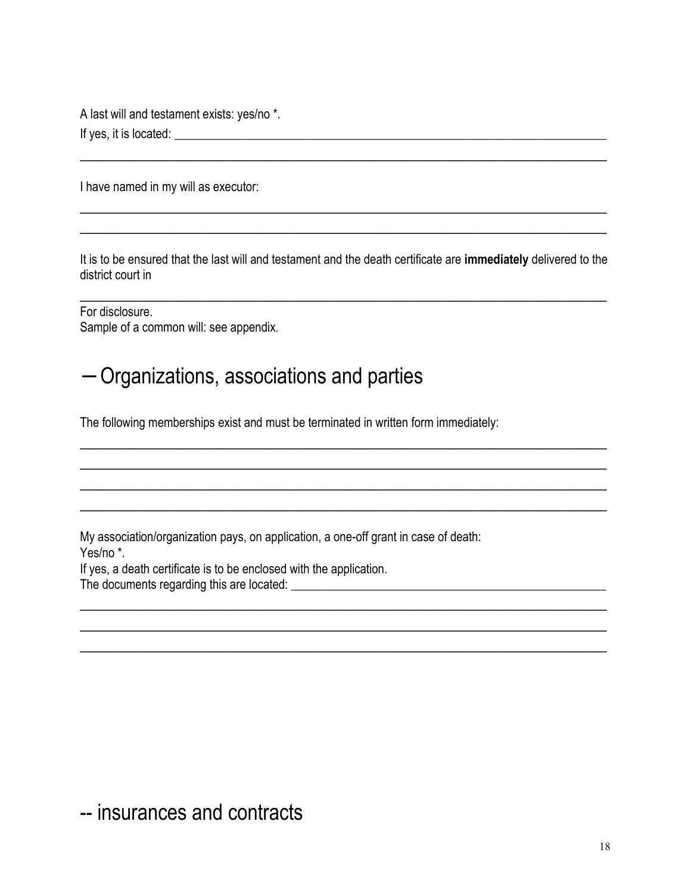A last will and testament exists: yes/no \*. If yes, it is located: \_\_\_\_\_\_\_\_\_\_\_\_\_\_\_\_\_\_\_\_\_\_\_\_\_\_\_\_\_\_\_\_\_\_\_\_\_\_\_\_\_\_\_\_\_\_\_\_\_\_\_\_\_\_\_\_\_\_\_\_\_\_\_\_\_\_\_\_\_\_

I have named in my will as executor:

It is to be ensured that the last will and testament and the death certificate are **immediately** delivered to the district court in

\_\_\_\_\_\_\_\_\_\_\_\_\_\_\_\_\_\_\_\_\_\_\_\_\_\_\_\_\_\_\_\_\_\_\_\_\_\_\_\_\_\_\_\_\_\_\_\_\_\_\_\_\_\_\_\_\_\_\_\_\_\_\_\_

 $\overline{a_1}$  ,  $\overline{a_2}$  ,  $\overline{a_3}$  ,  $\overline{a_4}$  ,  $\overline{a_5}$  ,  $\overline{a_6}$  ,  $\overline{a_7}$  ,  $\overline{a_8}$  ,  $\overline{a_9}$  ,  $\overline{a_9}$  ,  $\overline{a_9}$  ,  $\overline{a_9}$  ,  $\overline{a_9}$  ,  $\overline{a_9}$  ,  $\overline{a_9}$  ,  $\overline{a_9}$  ,  $\overline{a_9}$  ,  $\overline{a_1}$  ,  $\overline{a_2}$  ,  $\overline{a_3}$  ,  $\overline{a_4}$  ,  $\overline{a_5}$  ,  $\overline{a_6}$  ,  $\overline{a_7}$  ,  $\overline{a_8}$  ,  $\overline{a_9}$  ,  $\overline{a_9}$  ,  $\overline{a_9}$  ,  $\overline{a_9}$  ,  $\overline{a_9}$  ,  $\overline{a_9}$  ,  $\overline{a_9}$  ,  $\overline{a_9}$  ,  $\overline{a_9}$  ,  $\overline{a_1}$  ,  $\overline{a_2}$  ,  $\overline{a_3}$  ,  $\overline{a_4}$  ,  $\overline{a_5}$  ,  $\overline{a_6}$  ,  $\overline{a_7}$  ,  $\overline{a_8}$  ,  $\overline{a_9}$  ,  $\overline{a_9}$  ,  $\overline{a_9}$  ,  $\overline{a_9}$  ,  $\overline{a_9}$  ,  $\overline{a_9}$  ,  $\overline{a_9}$  ,  $\overline{a_9}$  ,  $\overline{a_9}$  ,  $\overline{a_1}$  ,  $\overline{a_2}$  ,  $\overline{a_3}$  ,  $\overline{a_4}$  ,  $\overline{a_5}$  ,  $\overline{a_6}$  ,  $\overline{a_7}$  ,  $\overline{a_8}$  ,  $\overline{a_9}$  ,  $\overline{a_9}$  ,  $\overline{a_9}$  ,  $\overline{a_9}$  ,  $\overline{a_9}$  ,  $\overline{a_9}$  ,  $\overline{a_9}$  ,  $\overline{a_9}$  ,  $\overline{a_9}$  ,

 $\overline{a_1}$  ,  $\overline{a_2}$  ,  $\overline{a_3}$  ,  $\overline{a_4}$  ,  $\overline{a_5}$  ,  $\overline{a_6}$  ,  $\overline{a_7}$  ,  $\overline{a_8}$  ,  $\overline{a_9}$  ,  $\overline{a_9}$  ,  $\overline{a_9}$  ,  $\overline{a_9}$  ,  $\overline{a_9}$  ,  $\overline{a_9}$  ,  $\overline{a_9}$  ,  $\overline{a_9}$  ,  $\overline{a_9}$  ,  $\overline{a_1}$  ,  $\overline{a_2}$  ,  $\overline{a_3}$  ,  $\overline{a_4}$  ,  $\overline{a_5}$  ,  $\overline{a_6}$  ,  $\overline{a_7}$  ,  $\overline{a_8}$  ,  $\overline{a_9}$  ,  $\overline{a_9}$  ,  $\overline{a_9}$  ,  $\overline{a_9}$  ,  $\overline{a_9}$  ,  $\overline{a_9}$  ,  $\overline{a_9}$  ,  $\overline{a_9}$  ,  $\overline{a_9}$  ,  $\overline{a_1}$  ,  $\overline{a_2}$  ,  $\overline{a_3}$  ,  $\overline{a_4}$  ,  $\overline{a_5}$  ,  $\overline{a_6}$  ,  $\overline{a_7}$  ,  $\overline{a_8}$  ,  $\overline{a_9}$  ,  $\overline{a_9}$  ,  $\overline{a_9}$  ,  $\overline{a_9}$  ,  $\overline{a_9}$  ,  $\overline{a_9}$  ,  $\overline{a_9}$  ,  $\overline{a_9}$  ,  $\overline{a_9}$  ,

 $\overline{a_1}$  ,  $\overline{a_2}$  ,  $\overline{a_3}$  ,  $\overline{a_4}$  ,  $\overline{a_5}$  ,  $\overline{a_6}$  ,  $\overline{a_7}$  ,  $\overline{a_8}$  ,  $\overline{a_9}$  ,  $\overline{a_9}$  ,  $\overline{a_9}$  ,  $\overline{a_9}$  ,  $\overline{a_9}$  ,  $\overline{a_9}$  ,  $\overline{a_9}$  ,  $\overline{a_9}$  ,  $\overline{a_9}$  ,

 $\overline{a_1}$  ,  $\overline{a_2}$  ,  $\overline{a_3}$  ,  $\overline{a_4}$  ,  $\overline{a_5}$  ,  $\overline{a_6}$  ,  $\overline{a_7}$  ,  $\overline{a_8}$  ,  $\overline{a_9}$  ,  $\overline{a_9}$  ,  $\overline{a_9}$  ,  $\overline{a_9}$  ,  $\overline{a_9}$  ,  $\overline{a_9}$  ,  $\overline{a_9}$  ,  $\overline{a_9}$  ,  $\overline{a_9}$  ,  $\overline{a_1}$  ,  $\overline{a_2}$  ,  $\overline{a_3}$  ,  $\overline{a_4}$  ,  $\overline{a_5}$  ,  $\overline{a_6}$  ,  $\overline{a_7}$  ,  $\overline{a_8}$  ,  $\overline{a_9}$  ,  $\overline{a_9}$  ,  $\overline{a_9}$  ,  $\overline{a_9}$  ,  $\overline{a_9}$  ,  $\overline{a_9}$  ,  $\overline{a_9}$  ,  $\overline{a_9}$  ,  $\overline{a_9}$  ,

For disclosure. Sample of a common will: see appendix.

#### − Organizations, associations and parties

The following memberships exist and must be terminated in written form immediately:

My association/organization pays, on application, a one-off grant in case of death:

Yes/no \*.

If yes, a death certificate is to be enclosed with the application.

The documents regarding this are located: \_\_\_\_\_\_\_\_\_\_\_\_\_\_\_\_\_\_\_\_\_\_\_\_\_\_\_\_\_\_\_\_\_\_\_\_\_\_\_\_\_\_\_\_\_\_\_\_\_\_\_

-- insurances and contracts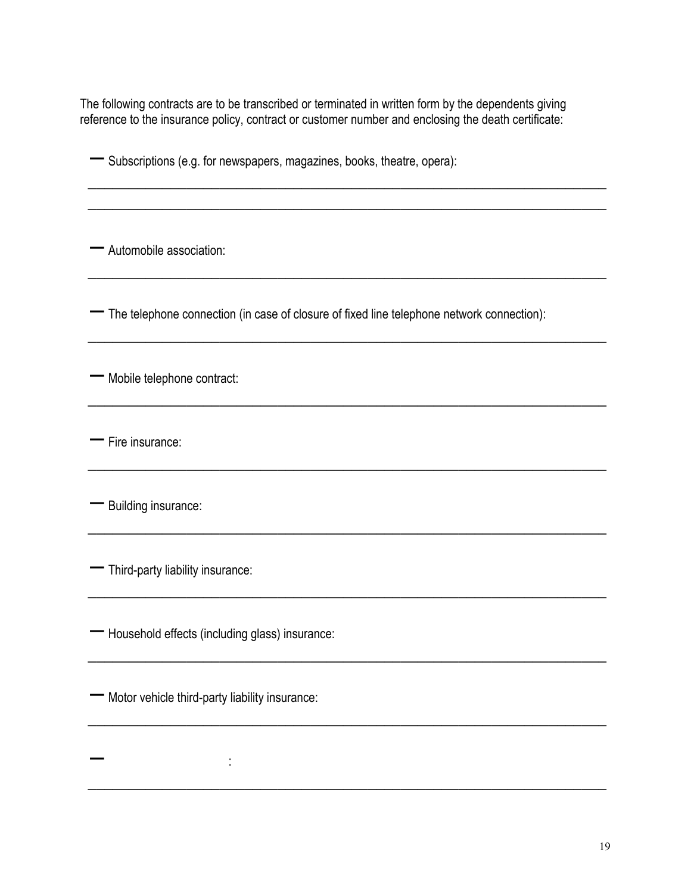The following contracts are to be transcribed or terminated in written form by the dependents giving reference to the insurance policy, contract or customer number and enclosing the death certificate:

\_\_\_\_\_\_\_\_\_\_\_\_\_\_\_\_\_\_\_\_\_\_\_\_\_\_\_\_\_\_\_\_\_\_\_\_\_\_\_\_\_\_\_\_\_\_\_\_\_\_\_\_\_\_\_\_\_\_\_\_\_\_\_  $\overline{\phantom{a}}$  , and the contribution of the contribution of the contribution of the contribution of the contribution of the contribution of the contribution of the contribution of the contribution of the contribution of the

\_\_\_\_\_\_\_\_\_\_\_\_\_\_\_\_\_\_\_\_\_\_\_\_\_\_\_\_\_\_\_\_\_\_\_\_\_\_\_\_\_\_\_\_\_\_\_\_\_\_\_\_\_\_\_\_\_\_\_\_\_\_\_

\_\_\_\_\_\_\_\_\_\_\_\_\_\_\_\_\_\_\_\_\_\_\_\_\_\_\_\_\_\_\_\_\_\_\_\_\_\_\_\_\_\_\_\_\_\_\_\_\_\_\_\_\_\_\_\_\_\_\_\_\_\_\_

\_\_\_\_\_\_\_\_\_\_\_\_\_\_\_\_\_\_\_\_\_\_\_\_\_\_\_\_\_\_\_\_\_\_\_\_\_\_\_\_\_\_\_\_\_\_\_\_\_\_\_\_\_\_\_\_\_\_\_\_\_\_\_

 $\overline{\phantom{a}}$  , and the contribution of the contribution of the contribution of the contribution of the contribution of the contribution of the contribution of the contribution of the contribution of the contribution of the

\_\_\_\_\_\_\_\_\_\_\_\_\_\_\_\_\_\_\_\_\_\_\_\_\_\_\_\_\_\_\_\_\_\_\_\_\_\_\_\_\_\_\_\_\_\_\_\_\_\_\_\_\_\_\_\_\_\_\_\_\_\_\_

 $\overline{\phantom{a}}$  , and the contribution of the contribution of the contribution of the contribution of the contribution of the contribution of the contribution of the contribution of the contribution of the contribution of the

 $\overline{\phantom{a}}$  , and the contribution of the contribution of the contribution of the contribution of the contribution of the contribution of the contribution of the contribution of the contribution of the contribution of the

 $\overline{\phantom{a}}$  , and the contribution of the contribution of the contribution of the contribution of the contribution of the contribution of the contribution of the contribution of the contribution of the contribution of the

 $\overline{\phantom{a}}$  , and the contribution of the contribution of the contribution of the contribution of the contribution of the contribution of the contribution of the contribution of the contribution of the contribution of the

− Subscriptions (e.g. for newspapers, magazines, books, theatre, opera):

− Automobile association:

− The telephone connection (in case of closure of fixed line telephone network connection):

− Mobile telephone contract:

− Fire insurance:

− Building insurance:

− Third-party liability insurance:

− :

− Household effects (including glass) insurance:

− Motor vehicle third-party liability insurance:

19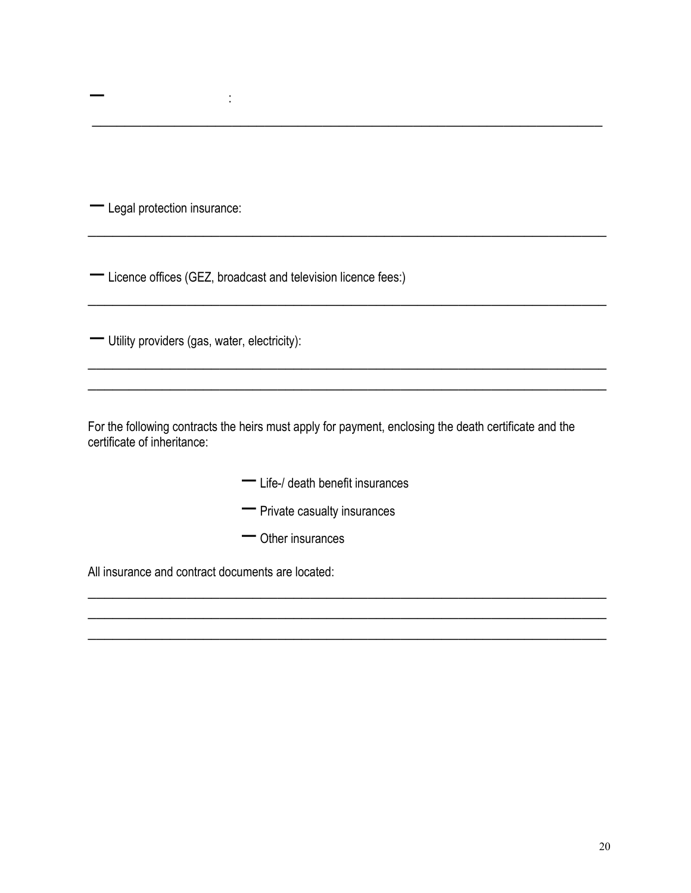− Legal protection insurance:

− :

− Licence offices (GEZ, broadcast and television licence fees:)

− Utility providers (gas, water, electricity):

For the following contracts the heirs must apply for payment, enclosing the death certificate and the certificate of inheritance:

 $\overline{\phantom{a}}$  ,  $\overline{\phantom{a}}$  ,  $\overline{\phantom{a}}$  ,  $\overline{\phantom{a}}$  ,  $\overline{\phantom{a}}$  ,  $\overline{\phantom{a}}$  ,  $\overline{\phantom{a}}$  ,  $\overline{\phantom{a}}$  ,  $\overline{\phantom{a}}$  ,  $\overline{\phantom{a}}$  ,  $\overline{\phantom{a}}$  ,  $\overline{\phantom{a}}$  ,  $\overline{\phantom{a}}$  ,  $\overline{\phantom{a}}$  ,  $\overline{\phantom{a}}$  ,  $\overline{\phantom{a}}$ 

\_\_\_\_\_\_\_\_\_\_\_\_\_\_\_\_\_\_\_\_\_\_\_\_\_\_\_\_\_\_\_\_\_\_\_\_\_\_\_\_\_\_\_\_\_\_\_\_\_\_\_\_\_\_\_\_\_\_\_\_\_\_\_

 $\overline{\phantom{a}}$  , and the contribution of the contribution of the contribution of the contribution of the contribution of the contribution of the contribution of the contribution of the contribution of the contribution of the

 $\overline{\phantom{a}}$  , and the contribution of the contribution of the contribution of the contribution of the contribution of the contribution of the contribution of the contribution of the contribution of the contribution of the

\_\_\_\_\_\_\_\_\_\_\_\_\_\_\_\_\_\_\_\_\_\_\_\_\_\_\_\_\_\_\_\_\_\_\_\_\_\_\_\_\_\_\_\_\_\_\_\_\_\_\_\_\_\_\_\_\_\_\_\_\_\_\_  $\overline{\phantom{a}}$  , and the contribution of the contribution of the contribution of the contribution of the contribution of the contribution of the contribution of the contribution of the contribution of the contribution of the  $\overline{\phantom{a}}$  , and the contribution of the contribution of the contribution of the contribution of the contribution of the contribution of the contribution of the contribution of the contribution of the contribution of the

 $\ldots$  . The contribution of the contribution of the contribution of the contribution of the contribution of the contribution of the contribution of the contribution of the contribution of the contribution of the contribut

- − Life-/ death benefit insurances
- − Private casualty insurances
- − Other insurances

All insurance and contract documents are located: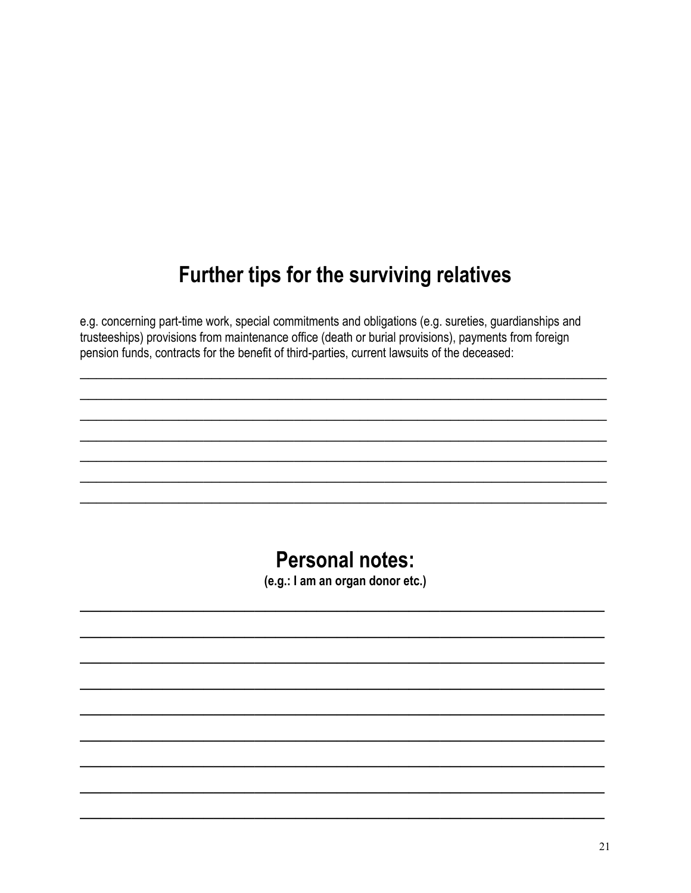## Further tips for the surviving relatives

e.g. concerning part-time work, special commitments and obligations (e.g. sureties, guardianships and trusteeships) provisions from maintenance office (death or burial provisions), payments from foreign pension funds, contracts for the benefit of third-parties, current lawsuits of the deceased:

#### **Personal notes:**

(e.g.: I am an organ donor etc.)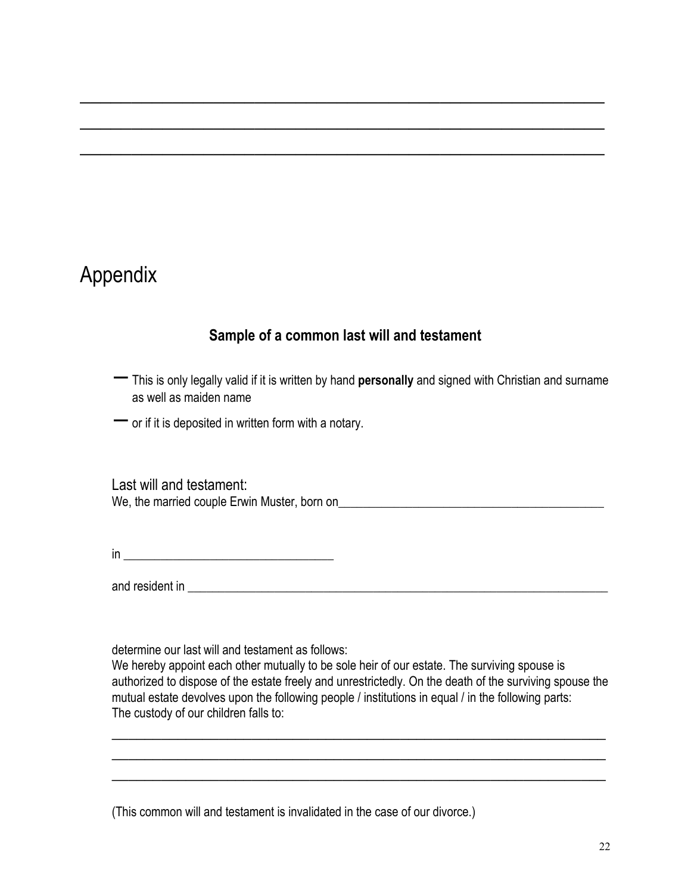#### Appendix

#### **Sample of a common last will and testament**

 $\mathcal{L}_\text{max}$  and  $\mathcal{L}_\text{max}$  and  $\mathcal{L}_\text{max}$  and  $\mathcal{L}_\text{max}$  and  $\mathcal{L}_\text{max}$  and  $\mathcal{L}_\text{max}$ 

 $\mathcal{L}_\text{max}$  , and the contract of the contract of the contract of the contract of the contract of the contract of the contract of the contract of the contract of the contract of the contract of the contract of the contr

 $\mathcal{L}_\text{max}$  , and the contract of the contract of the contract of the contract of the contract of the contract of the contract of the contract of the contract of the contract of the contract of the contract of the contr

- − This is only legally valid if it is written by hand **personally** and signed with Christian and surname as well as maiden name
- − or if it is deposited in written form with <sup>a</sup> notary.

Last will and testament: We, the married couple Erwin Muster, born on\_\_\_\_\_\_\_\_\_\_\_\_\_\_\_\_\_\_\_\_\_\_\_\_\_\_\_\_\_\_\_\_\_\_\_\_\_\_\_\_\_\_\_

 $\mathsf{in}$   $\_\_\_\_\_\_\_\_\_\_$ 

and resident in \_\_\_\_\_\_\_\_\_\_\_\_\_\_\_\_\_\_\_\_\_\_\_\_\_\_\_\_\_\_\_\_\_\_\_\_\_\_\_\_\_\_\_\_\_\_\_\_\_\_\_\_\_\_\_\_\_\_\_\_\_\_\_\_\_\_\_\_

determine our last will and testament as follows:

We hereby appoint each other mutually to be sole heir of our estate. The surviving spouse is authorized to dispose of the estate freely and unrestrictedly. On the death of the surviving spouse the mutual estate devolves upon the following people / institutions in equal / in the following parts: The custody of our children falls to:

 $\overline{\phantom{a}}$  , and the contribution of the contribution of the contribution of the contribution of the contribution of the contribution of the contribution of the contribution of the contribution of the contribution of the  $\overline{\phantom{a}}$  , and the contribution of the contribution of the contribution of the contribution of the contribution of the contribution of the contribution of the contribution of the contribution of the contribution of the  $\overline{\phantom{a}}$  , and the contribution of the contribution of the contribution of the contribution of the contribution of the contribution of the contribution of the contribution of the contribution of the contribution of the

(This common will and testament is invalidated in the case of our divorce.)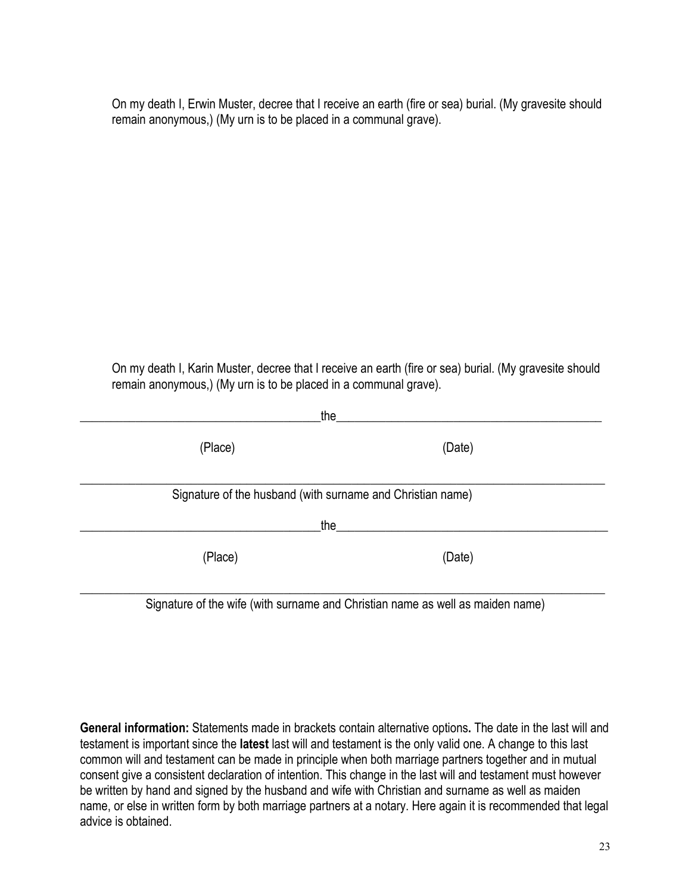On my death I, Erwin Muster, decree that I receive an earth (fire or sea) burial. (My gravesite should remain anonymous,) (My urn is to be placed in a communal grave).

On my death I, Karin Muster, decree that I receive an earth (fire or sea) burial. (My gravesite should remain anonymous,) (My urn is to be placed in a communal grave).

| the                                                        |                                                                                |  |
|------------------------------------------------------------|--------------------------------------------------------------------------------|--|
| (Place)                                                    | (Date)                                                                         |  |
| Signature of the husband (with surname and Christian name) |                                                                                |  |
| the                                                        |                                                                                |  |
| (Place)                                                    | (Date)                                                                         |  |
|                                                            | Signature of the wife (with surname and Christian name as well as maiden name) |  |

Signature of the wife (with surname and Christian name as well as maiden name)

**General information:** Statements made in brackets contain alternative options**.** The date in the last will and testament is important since the **latest** last will and testament is the only valid one. A change to this last common will and testament can be made in principle when both marriage partners together and in mutual consent give a consistent declaration of intention. This change in the last will and testament must however be written by hand and signed by the husband and wife with Christian and surname as well as maiden name, or else in written form by both marriage partners at a notary. Here again it is recommended that legal advice is obtained.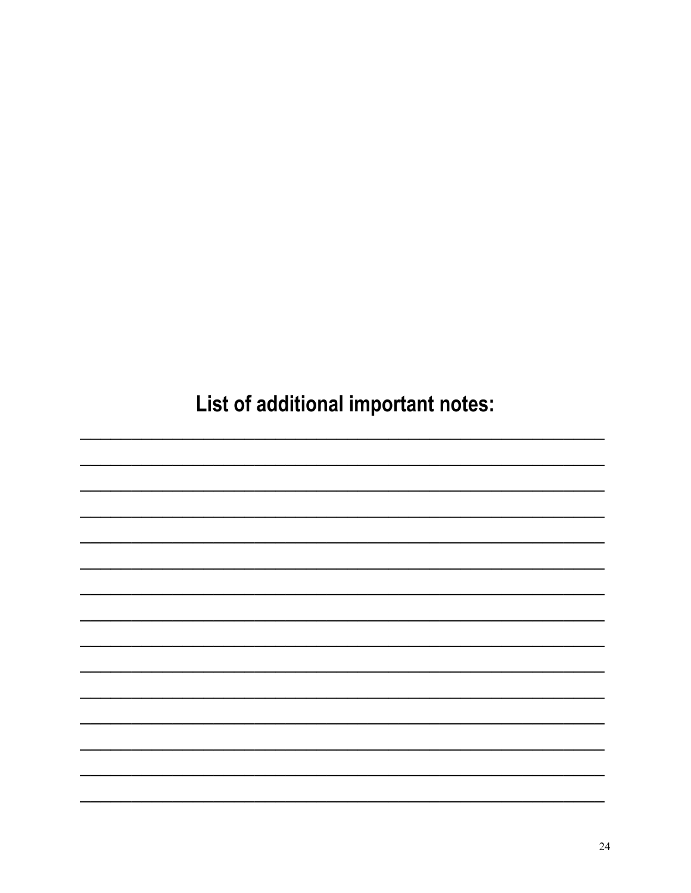List of additional important notes: